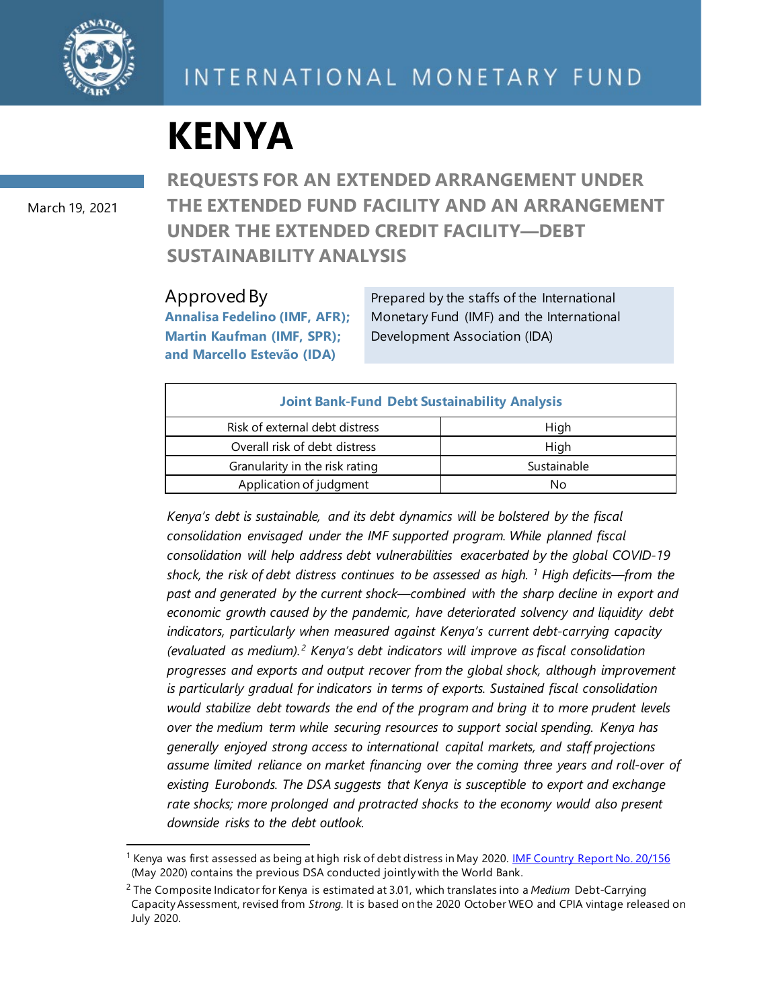

# INTERNATIONAL MONETARY FUND

# **KENYA**

March 19, 2021

**REQUESTS FOR AN EXTENDED ARRANGEMENT UNDER THE EXTENDED FUND FACILITY AND AN ARRANGEMENT UNDER THE EXTENDED CREDIT FACILITY—DEBT SUSTAINABILITY ANALYSIS**

#### Approved By

**Annalisa Fedelino (IMF, AFR); Martin Kaufman (IMF, SPR); and Marcello Estevão (IDA)**

Prepared by the staffs of the International Monetary Fund (IMF) and the International Development Association (IDA)

| <b>Joint Bank-Fund Debt Sustainability Analysis</b> |             |
|-----------------------------------------------------|-------------|
| Risk of external debt distress                      | High        |
| Overall risk of debt distress                       | High        |
| Granularity in the risk rating                      | Sustainable |
| Application of judgment                             | Nο          |

*Kenya's debt is sustainable, and its debt dynamics will be bolstered by the fiscal consolidation envisaged under the IMF supported program. While planned fiscal consolidation will help address debt vulnerabilities exacerbated by the global COVID-19 shock, the risk of debt distress continues to be assessed as high. [1](#page-0-0) High deficits—from the past and generated by the current shock—combined with the sharp decline in export and economic growth caused by the pandemic, have deteriorated solvency and liquidity debt indicators, particularly when measured against Kenya's current debt-carrying capacity (evaluated as medium). [2](#page-0-1) Kenya's debt indicators will improve as fiscal consolidation progresses and exports and output recover from the global shock, although improvement is particularly gradual for indicators in terms of exports. Sustained fiscal consolidation would stabilize debt towards the end of the program and bring it to more prudent levels over the medium term while securing resources to support social spending. Kenya has generally enjoyed strong access to international capital markets, and staff projections assume limited reliance on market financing over the coming three years and roll-over of existing Eurobonds. The DSA suggests that Kenya is susceptible to export and exchange rate shocks; more prolonged and protracted shocks to the economy would also present downside risks to the debt outlook.*

<span id="page-0-0"></span><sup>&</sup>lt;sup>1</sup> Kenya was first assessed as being at high risk of debt distress in May 2020. [IMF Country Report No. 20/156](https://www.imf.org/en/Publications/CR/Issues/2020/05/11/Republic-of-Kenya-Request-for-Disbursement-under-the-Rapid-Credit-Facility-Press-Release-49405) (May 2020) contains the previous DSA conducted jointly with the World Bank.

<span id="page-0-1"></span><sup>2</sup> The Composite Indicator for Kenya is estimated at 3.01, which translates into a *Medium* Debt-Carrying Capacity Assessment, revised from *Strong.* It is based on the 2020 October WEO and CPIA vintage released on July 2020.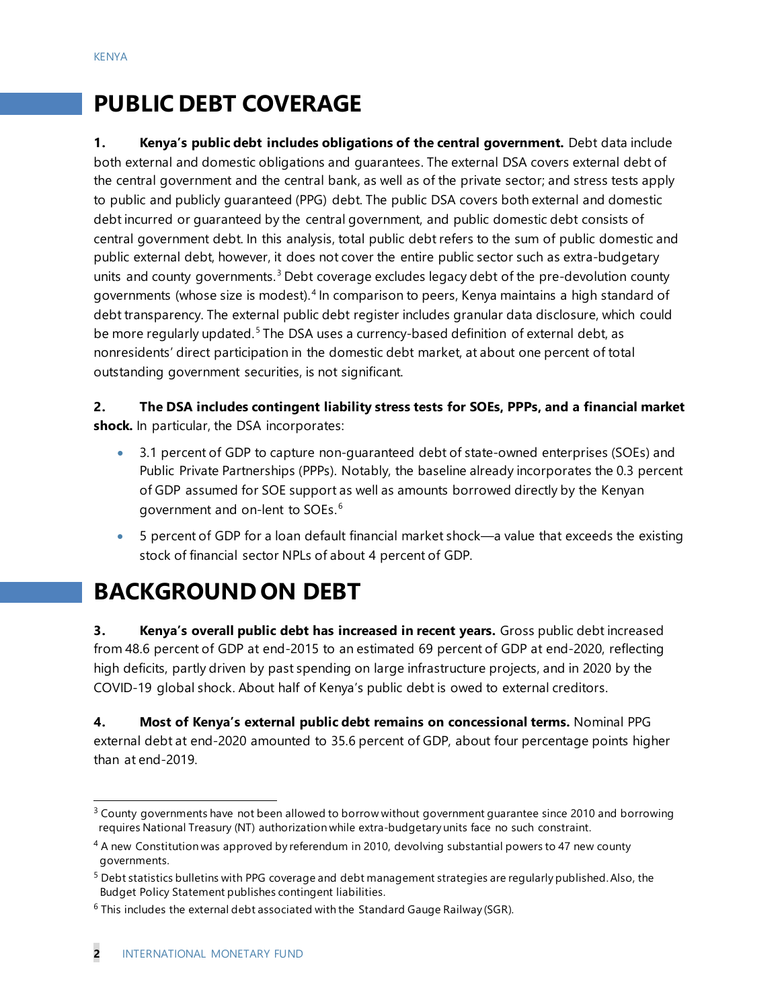# **PUBLIC DEBT COVERAGE**

**1. Kenya's public debt includes obligations of the central government.** Debt data include both external and domestic obligations and guarantees. The external DSA covers external debt of the central government and the central bank, as well as of the private sector; and stress tests apply to public and publicly guaranteed (PPG) debt. The public DSA covers both external and domestic debt incurred or guaranteed by the central government, and public domestic debt consists of central government debt. In this analysis, total public debt refers to the sum of public domestic and public external debt, however, it does not cover the entire public sector such as extra-budgetary units and county governments.<sup>[3](#page-1-0)</sup> Debt coverage excludes legacy debt of the pre-devolution county governments (whose size is modest). [4](#page-1-1) In comparison to peers, Kenya maintains a high standard of debt transparency. The external public debt register includes granular data disclosure, which could be more regularly updated.<sup>[5](#page-1-2)</sup> The DSA uses a currency-based definition of external debt, as nonresidents' direct participation in the domestic debt market, at about one percent of total outstanding government securities, is not significant.

**2. The DSA includes contingent liability stress tests for SOEs, PPPs, and a financial market shock.** In particular, the DSA incorporates:

- 3.1 percent of GDP to capture non-guaranteed debt of state-owned enterprises (SOEs) and Public Private Partnerships (PPPs). Notably, the baseline already incorporates the 0.3 percent of GDP assumed for SOE support as well as amounts borrowed directly by the Kenyan government and on-lent to SOEs. [6](#page-1-3)
- 5 percent of GDP for a loan default financial market shock—a value that exceeds the existing stock of financial sector NPLs of about 4 percent of GDP.

# **BACKGROUND ON DEBT**

**3.** Kenya's overall public debt has increased in recent years. Gross public debt increased from 48.6 percent of GDP at end-2015 to an estimated 69 percent of GDP at end-2020, reflecting high deficits, partly driven by past spending on large infrastructure projects, and in 2020 by the COVID-19 global shock. About half of Kenya's public debt is owed to external creditors.

**4. Most of Kenya's external public debt remains on concessional terms.** Nominal PPG external debt at end-2020 amounted to 35.6 percent of GDP, about four percentage points higher than at end-2019.

<span id="page-1-0"></span><sup>&</sup>lt;sup>3</sup> County governments have not been allowed to borrow without government guarantee since 2010 and borrowing requires National Treasury (NT) authorization while extra-budgetary units face no such constraint.

<span id="page-1-1"></span><sup>&</sup>lt;sup>4</sup> A new Constitution was approved by referendum in 2010, devolving substantial powers to 47 new county governments.

<span id="page-1-2"></span><sup>5</sup> Debt statistics bulletins with PPG coverage and debt management strategies are regularly published.Also, the Budget Policy Statement publishes contingent liabilities.

<span id="page-1-3"></span> $6$  This includes the external debt associated with the Standard Gauge Railway (SGR).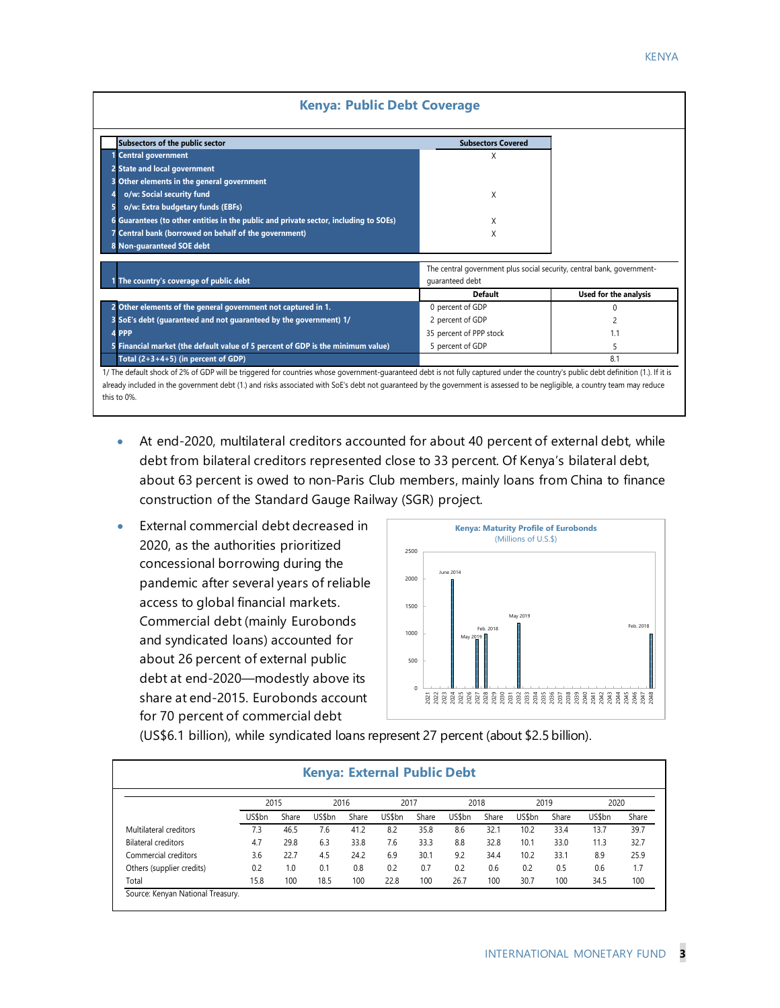| <b>KENYA</b> |
|--------------|
|              |

| Subsectors of the public sector                                                                                                                                                        | <b>Subsectors Covered</b>                                              |                       |
|----------------------------------------------------------------------------------------------------------------------------------------------------------------------------------------|------------------------------------------------------------------------|-----------------------|
| 1 Central government                                                                                                                                                                   | X                                                                      |                       |
| 2 State and local government                                                                                                                                                           |                                                                        |                       |
| 3 Other elements in the general government                                                                                                                                             |                                                                        |                       |
| o/w: Social security fund                                                                                                                                                              | X                                                                      |                       |
| o/w: Extra budgetary funds (EBFs)                                                                                                                                                      |                                                                        |                       |
| 6 Guarantees (to other entities in the public and private sector, including to SOEs)                                                                                                   | X                                                                      |                       |
| 7 Central bank (borrowed on behalf of the government)                                                                                                                                  | X                                                                      |                       |
|                                                                                                                                                                                        |                                                                        |                       |
| 8 Non-quaranteed SOE debt                                                                                                                                                              |                                                                        |                       |
|                                                                                                                                                                                        | The central government plus social security, central bank, government- |                       |
|                                                                                                                                                                                        | quaranteed debt                                                        |                       |
|                                                                                                                                                                                        | <b>Default</b>                                                         | Used for the analysis |
|                                                                                                                                                                                        | 0 percent of GDP                                                       |                       |
|                                                                                                                                                                                        | 2 percent of GDP                                                       |                       |
| 1 The country's coverage of public debt<br>2 Other elements of the general government not captured in 1.<br>3 SoE's debt (guaranteed and not guaranteed by the government) 1/<br>4 PPP | 35 percent of PPP stock                                                | 1.1                   |
| 5 Financial market (the default value of 5 percent of GDP is the minimum value)                                                                                                        | 5 percent of GDP                                                       | 5                     |

- At end-2020, multilateral creditors accounted for about 40 percent of external debt, while debt from bilateral creditors represented close to 33 percent. Of Kenya's bilateral debt, about 63 percent is owed to non-Paris Club members, mainly loans from China to finance construction of the Standard Gauge Railway (SGR) project.
- External commercial debt decreased in 2020, as the authorities prioritized concessional borrowing during the pandemic after several years of reliable access to global financial markets. Commercial debt (mainly Eurobonds and syndicated loans) accounted for about 26 percent of external public debt at end-2020—modestly above its share at end-2015. Eurobonds account for 70 percent of commercial debt



(US\$6.1 billion), while syndicated loans represent 27 percent (about \$2.5 billion).

|                            | 2015   |       |        | 2016  | 2017   |       | 2018   |       | 2019   |       | 2020   |       |
|----------------------------|--------|-------|--------|-------|--------|-------|--------|-------|--------|-------|--------|-------|
|                            | US\$bn | Share | US\$bn | Share | US\$bn | Share | US\$bn | Share | US\$bn | Share | US\$bn | Share |
| Multilateral creditors     | 7.3    | 46.5  | 7.6    | 41.2  | 8.2    | 35.8  | 8.6    | 32.1  | 10.2   | 33.4  | 13.7   | 39.7  |
| <b>Bilateral creditors</b> | 4.7    | 29.8  | 6.3    | 33.8  | 7.6    | 33.3  | 8.8    | 32.8  | 10.1   | 33.0  | 11.3   | 32.7  |
| Commercial creditors       | 3.6    | 22.7  | 4.5    | 24.2  | 6.9    | 30.1  | 9.2    | 34.4  | 10.2   | 33.1  | 8.9    | 25.9  |
| Others (supplier credits)  | 0.2    | 1.0   | 0.1    | 0.8   | 0.2    | 0.7   | 0.2    | 0.6   | 0.2    | 0.5   | 0.6    | 1.7   |
| Total                      | 15.8   | 100   | 18.5   | 100   | 22.8   | 100   | 26.7   | 100   | 30.7   | 100   | 34.5   | 100   |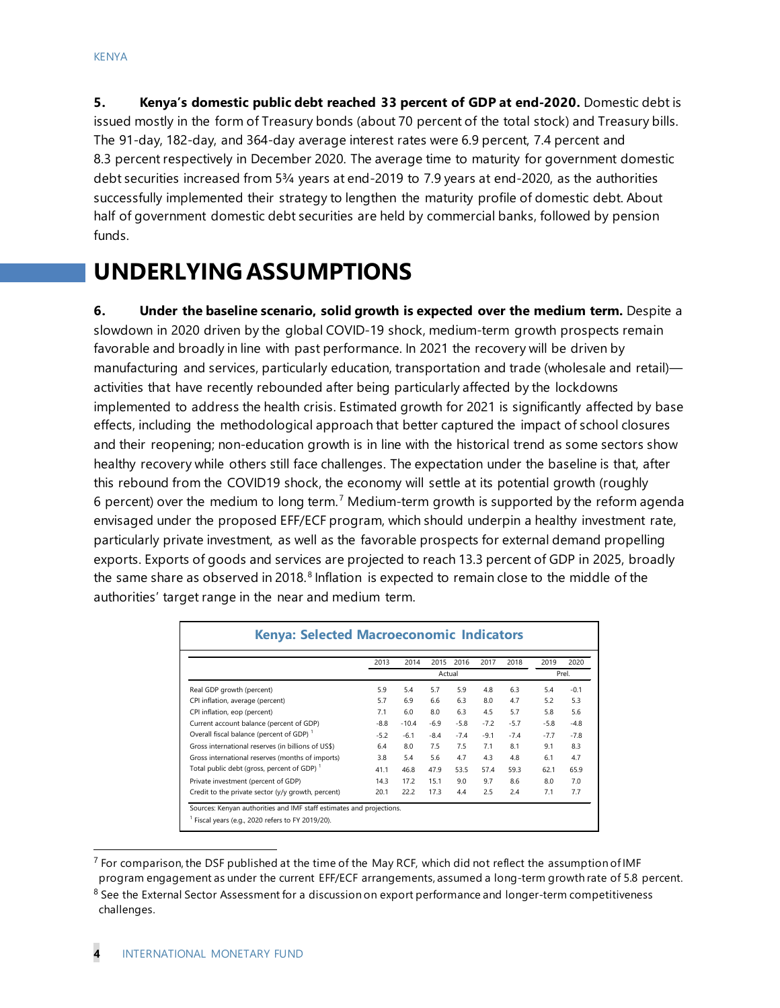**5. Kenya's domestic public debt reached 33 percent of GDP at end-2020.** Domestic debt is issued mostly in the form of Treasury bonds (about 70 percent of the total stock) and Treasury bills. The 91-day, 182-day, and 364-day average interest rates were 6.9 percent, 7.4 percent and 8.3 percent respectively in December 2020. The average time to maturity for government domestic debt securities increased from 5¾ years at end-2019 to 7.9 years at end-2020, as the authorities successfully implemented their strategy to lengthen the maturity profile of domestic debt. About half of government domestic debt securities are held by commercial banks, followed by pension funds.

## **UNDERLYING ASSUMPTIONS**

**6. Under the baseline scenario, solid growth is expected over the medium term.** Despite a slowdown in 2020 driven by the global COVID-19 shock, medium-term growth prospects remain favorable and broadly in line with past performance. In 2021 the recovery will be driven by manufacturing and services, particularly education, transportation and trade (wholesale and retail) activities that have recently rebounded after being particularly affected by the lockdowns implemented to address the health crisis. Estimated growth for 2021 is significantly affected by base effects, including the methodological approach that better captured the impact of school closures and their reopening; non-education growth is in line with the historical trend as some sectors show healthy recovery while others still face challenges. The expectation under the baseline is that, after this rebound from the COVID19 shock, the economy will settle at its potential growth (roughly 6 percent) over the medium to long term.<sup>[7](#page-3-0)</sup> Medium-term growth is supported by the reform agenda envisaged under the proposed EFF/ECF program, which should underpin a healthy investment rate, particularly private investment, as well as the favorable prospects for external demand propelling exports. Exports of goods and services are projected to reach 13.3 percent of GDP in 2025, broadly the same share as observed in 201[8](#page-3-1). $8$  Inflation is expected to remain close to the middle of the authorities' target range in the near and medium term.

|                                                        | 2013   | 2014    | 2015   | 2016   | 2017   | 2018   | 2019   | 2020   |
|--------------------------------------------------------|--------|---------|--------|--------|--------|--------|--------|--------|
|                                                        |        |         | Actual |        |        |        |        | Prel.  |
| Real GDP growth (percent)                              | 5.9    | 5.4     | 5.7    | 5.9    | 4.8    | 6.3    | 5.4    | $-0.1$ |
| CPI inflation, average (percent)                       | 5.7    | 6.9     | 6.6    | 6.3    | 8.0    | 4.7    | 5.2    | 5.3    |
| CPI inflation, eop (percent)                           | 7.1    | 6.0     | 8.0    | 6.3    | 4.5    | 5.7    | 5.8    | 5.6    |
| Current account balance (percent of GDP)               | $-8.8$ | $-10.4$ | $-6.9$ | $-5.8$ | $-7.2$ | $-5.7$ | $-5.8$ | $-4.8$ |
| Overall fiscal balance (percent of GDP) <sup>1</sup>   | $-5.2$ | $-6.1$  | $-8.4$ | $-7.4$ | $-9.1$ | $-7.4$ | $-7.7$ | $-7.8$ |
| Gross international reserves (in billions of US\$)     | 6.4    | 8.0     | 7.5    | 7.5    | 7.1    | 8.1    | 9.1    | 8.3    |
| Gross international reserves (months of imports)       | 3.8    | 5.4     | 5.6    | 4.7    | 4.3    | 4.8    | 6.1    | 4.7    |
| Total public debt (gross, percent of GDP) <sup>1</sup> | 41.1   | 46.8    | 47.9   | 53.5   | 57.4   | 59.3   | 62.1   | 65.9   |
| Private investment (percent of GDP)                    | 14.3   | 17.2    | 15.1   | 9.0    | 9.7    | 8.6    | 8.0    | 7.0    |
| Credit to the private sector (y/y growth, percent)     | 20.1   | 22.2    | 17.3   | 4.4    | 2.5    | 2.4    | 7.1    | 7.7    |

<span id="page-3-0"></span> $^7$  For comparison, the DSF published at the time of the May RCF, which did not reflect the assumption of IMF program engagement as under the current EFF/ECF arrangements, assumed a long-term growth rate of 5.8 percent.

<span id="page-3-1"></span><sup>&</sup>lt;sup>8</sup> See the External Sector Assessment for a discussion on export performance and longer-term competitiveness challenges.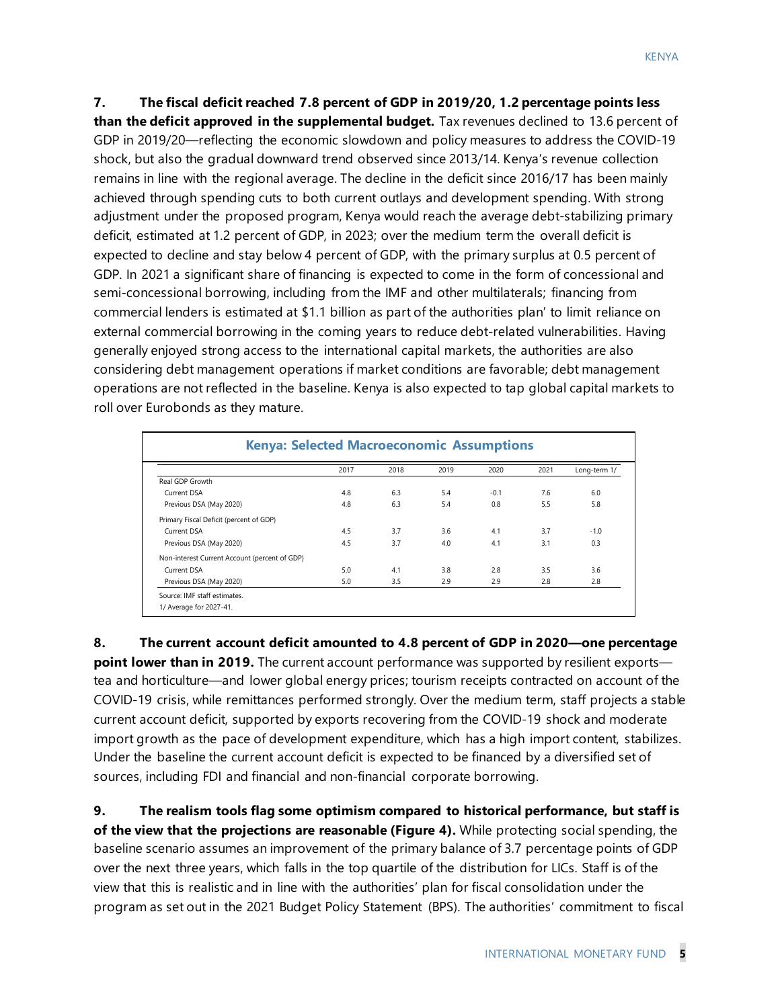**7. The fiscal deficit reached 7.8 percent of GDP in 2019/20, 1.2 percentage points less than the deficit approved in the supplemental budget.** Tax revenues declined to 13.6 percent of GDP in 2019/20—reflecting the economic slowdown and policy measures to address the COVID-19 shock, but also the gradual downward trend observed since 2013/14. Kenya's revenue collection remains in line with the regional average. The decline in the deficit since 2016/17 has been mainly achieved through spending cuts to both current outlays and development spending. With strong adjustment under the proposed program, Kenya would reach the average debt-stabilizing primary deficit, estimated at 1.2 percent of GDP, in 2023; over the medium term the overall deficit is expected to decline and stay below 4 percent of GDP, with the primary surplus at 0.5 percent of GDP. In 2021 a significant share of financing is expected to come in the form of concessional and semi-concessional borrowing, including from the IMF and other multilaterals; financing from commercial lenders is estimated at \$1.1 billion as part of the authorities plan' to limit reliance on external commercial borrowing in the coming years to reduce debt-related vulnerabilities. Having generally enjoyed strong access to the international capital markets, the authorities are also considering debt management operations if market conditions are favorable; debt management operations are not reflected in the baseline. Kenya is also expected to tap global capital markets to roll over Eurobonds as they mature.

|                                               | 2017 | 2018 | 2019 | 2020   | 2021 | Long-term 1/ |
|-----------------------------------------------|------|------|------|--------|------|--------------|
| Real GDP Growth                               |      |      |      |        |      |              |
| Current DSA                                   | 4.8  | 6.3  | 5.4  | $-0.1$ | 7.6  | 6.0          |
| Previous DSA (May 2020)                       | 4.8  | 6.3  | 5.4  | 0.8    | 5.5  | 5.8          |
| Primary Fiscal Deficit (percent of GDP)       |      |      |      |        |      |              |
| Current DSA                                   | 4.5  | 3.7  | 3.6  | 4.1    | 3.7  | $-1.0$       |
| Previous DSA (May 2020)                       | 4.5  | 3.7  | 4.0  | 4.1    | 3.1  | 0.3          |
| Non-interest Current Account (percent of GDP) |      |      |      |        |      |              |
| Current DSA                                   | 5.0  | 4.1  | 3.8  | 2.8    | 3.5  | 3.6          |
| Previous DSA (May 2020)                       | 5.0  | 3.5  | 2.9  | 2.9    | 2.8  | 2.8          |

**8. The current account deficit amounted to 4.8 percent of GDP in 2020—one percentage point lower than in 2019.** The current account performance was supported by resilient exports tea and horticulture—and lower global energy prices; tourism receipts contracted on account of the COVID-19 crisis, while remittances performed strongly. Over the medium term, staff projects a stable current account deficit, supported by exports recovering from the COVID-19 shock and moderate

import growth as the pace of development expenditure, which has a high import content, stabilizes. Under the baseline the current account deficit is expected to be financed by a diversified set of sources, including FDI and financial and non-financial corporate borrowing.

**9. The realism tools flag some optimism compared to historical performance, but staff is of the view that the projections are reasonable (Figure 4).** While protecting social spending, the baseline scenario assumes an improvement of the primary balance of 3.7 percentage points of GDP over the next three years, which falls in the top quartile of the distribution for LICs. Staff is of the view that this is realistic and in line with the authorities' plan for fiscal consolidation under the program as set out in the 2021 Budget Policy Statement (BPS). The authorities' commitment to fiscal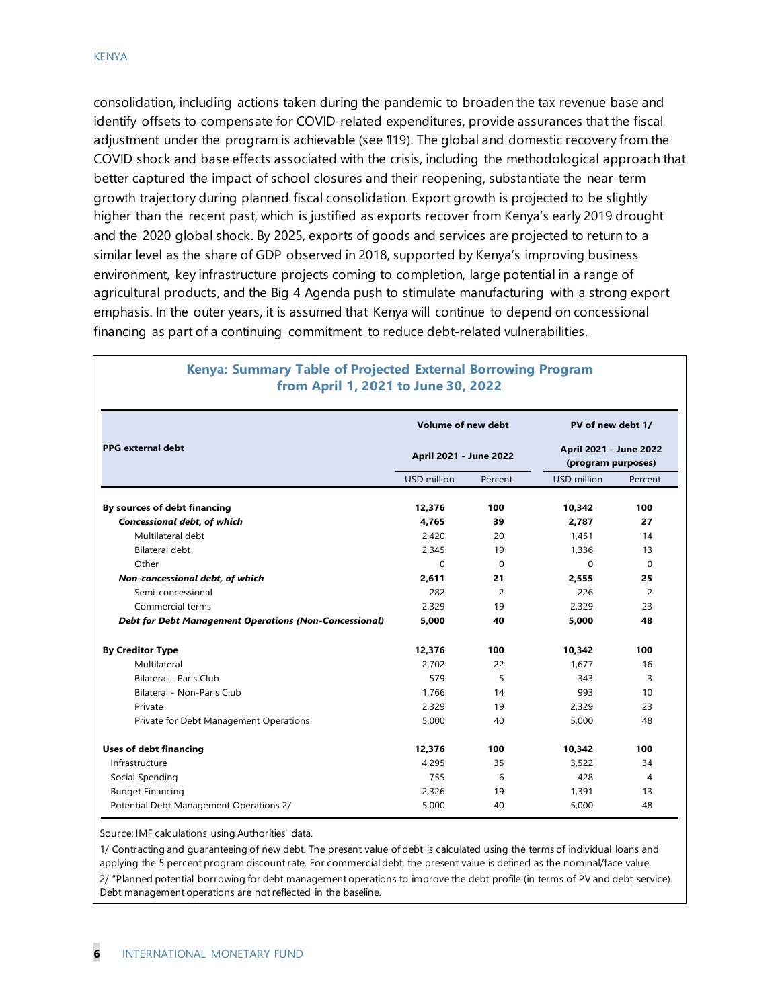consolidation, including actions taken during the pandemic to broaden the tax revenue base and identify offsets to compensate for COVID-related expenditures, provide assurances that the fiscal adjustment under the program is achievable (see ¶19). The global and domestic recovery from the COVID shock and base effects associated with the crisis, including the methodological approach that better captured the impact of school closures and their reopening, substantiate the near-term growth trajectory during planned fiscal consolidation. Export growth is projected to be slightly higher than the recent past, which is justified as exports recover from Kenya's early 2019 drought and the 2020 global shock. By 2025, exports of goods and services are projected to return to a similar level as the share of GDP observed in 2018, supported by Kenya's improving business environment, key infrastructure projects coming to completion, large potential in a range of agricultural products, and the Big 4 Agenda push to stimulate manufacturing with a strong export emphasis. In the outer years, it is assumed that Kenya will continue to depend on concessional financing as part of a continuing commitment to reduce debt-related vulnerabilities.

|                                                               | <b>Volume of new debt</b> |          | PV of new debt 1/                            |          |
|---------------------------------------------------------------|---------------------------|----------|----------------------------------------------|----------|
| <b>PPG</b> external debt                                      | April 2021 - June 2022    |          | April 2021 - June 2022<br>(program purposes) |          |
|                                                               | USD million               | Percent  | USD million                                  | Percent  |
| By sources of debt financing                                  | 12.376                    | 100      | 10.342                                       | 100      |
| <b>Concessional debt, of which</b>                            | 4.765                     | 39       | 2.787                                        | 27       |
| Multilateral debt                                             | 2.420                     | 20       | 1.451                                        | 14       |
| Bilateral debt                                                | 2,345                     | 19       | 1,336                                        | 13       |
| Other                                                         | $\Omega$                  | $\Omega$ | $\Omega$                                     | $\Omega$ |
| Non-concessional debt, of which                               | 2,611                     | 21       | 2,555                                        | 25       |
| Semi-concessional                                             | 282                       | 2        | 226                                          | 2        |
| Commercial terms                                              | 2,329                     | 19       | 2.329                                        | 23       |
| <b>Debt for Debt Management Operations (Non-Concessional)</b> | 5,000                     | 40       | 5,000                                        | 48       |
| <b>By Creditor Type</b>                                       | 12,376                    | 100      | 10,342                                       | 100      |
| Multilateral                                                  | 2,702                     | 22       | 1,677                                        | 16       |
| <b>Bilateral - Paris Club</b>                                 | 579                       | 5        | 343                                          | 3        |
| Bilateral - Non-Paris Club                                    | 1.766                     | 14       | 993                                          | 10       |
| Private                                                       | 2,329                     | 19       | 2,329                                        | 23       |
| Private for Debt Management Operations                        | 5,000                     | 40       | 5.000                                        | 48       |
| <b>Uses of debt financing</b>                                 | 12.376                    | 100      | 10.342                                       | 100      |
| Infrastructure                                                | 4.295                     | 35       | 3.522                                        | 34       |
| Social Spending                                               | 755                       | 6        | 428                                          | 4        |
| <b>Budget Financing</b>                                       | 2.326                     | 19       | 1.391                                        | 13       |
| Potential Debt Management Operations 2/                       | 5,000                     | 40       | 5,000                                        | 48       |

#### **Kenya: Summary Table of Projected External Borrowing Program from April 1, 2021 to June 30, 2022**

Source: IMF calculations using Authorities' data.

1/ Contracting and guaranteeing of new debt. The present value of debt is calculated using the terms of individual loans and applying the 5 percent program discount rate. For commercial debt, the present value is defined as the nominal/face value. 2/ "Planned potential borrowing for debt management operations to improve the debt profile (in terms of PV and debt service). Debt management operations are not reflected in the baseline.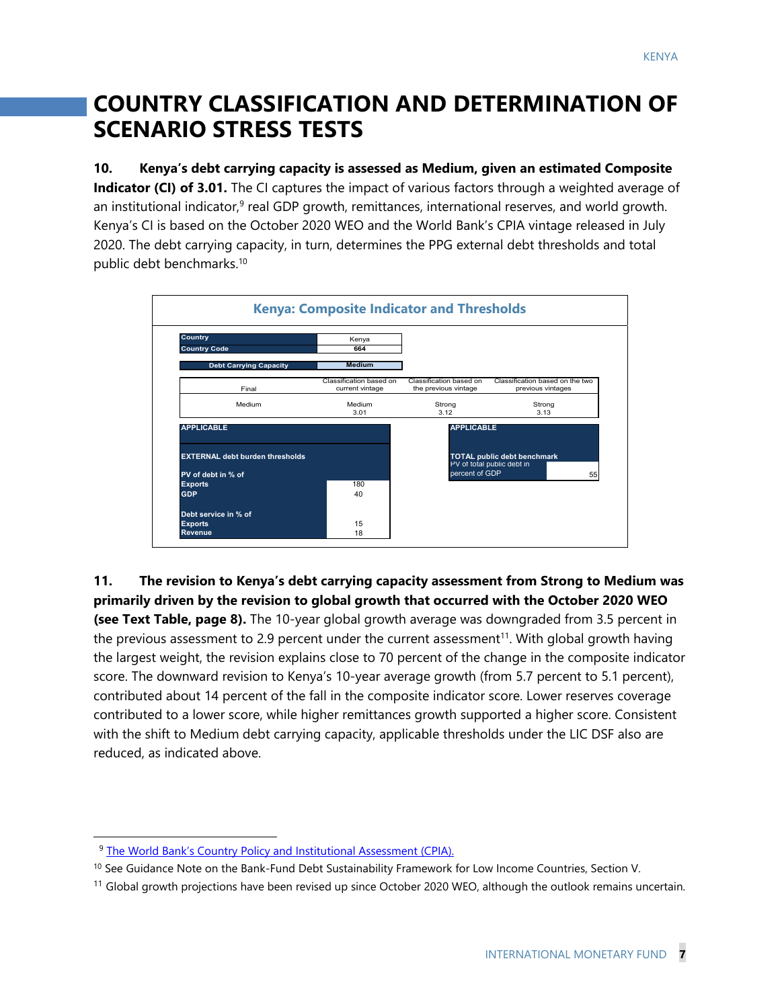# **COUNTRY CLASSIFICATION AND DETERMINATION OF SCENARIO STRESS TESTS**

**10. Kenya's debt carrying capacity is assessed as Medium, given an estimated Composite Indicator (CI) of 3.01.** The CI captures the impact of various factors through a weighted average of an institutional indicator,<sup>9</sup> real GDP growth, remittances, international reserves, and world growth. Kenya's CI is based on the October 2020 WEO and the World Bank's CPIA vintage released in July 2020. The debt carrying capacity, in turn, determines the PPG external debt thresholds and total public debt benchmarks.10



**11. The revision to Kenya's debt carrying capacity assessment from Strong to Medium was primarily driven by the revision to global growth that occurred with the October 2020 WEO (see Text Table, page 8).** The 10-year global growth average was downgraded from 3.5 percent in the previous assessment to 2.9 percent under the current assessment<sup>11</sup>. With global growth having the largest weight, the revision explains close to 70 percent of the change in the composite indicator score. The downward revision to Kenya's 10-year average growth (from 5.7 percent to 5.1 percent), contributed about 14 percent of the fall in the composite indicator score. Lower reserves coverage contributed to a lower score, while higher remittances growth supported a higher score. Consistent with the shift to Medium debt carrying capacity, applicable thresholds under the LIC DSF also are reduced, as indicated above.

<sup>9</sup> The World Bank's Country Policy and Institutional Assessment (CPIA).

<sup>&</sup>lt;sup>10</sup> See Guidance Note on the Bank-Fund Debt Sustainability Framework for Low Income Countries, Section V.

 $11$  Global growth projections have been revised up since October 2020 WEO, although the outlook remains uncertain.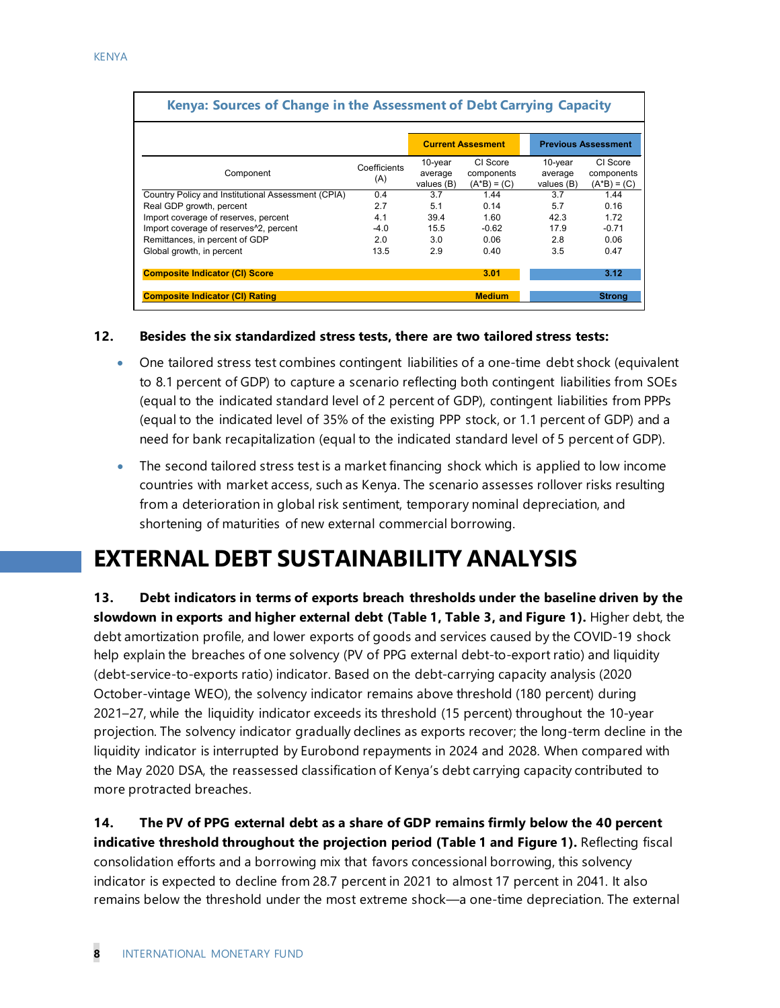| Kenya: Sources of Change in the Assessment of Debt Carrying Capacity |                     |                                  |                                         |                                  |                                         |
|----------------------------------------------------------------------|---------------------|----------------------------------|-----------------------------------------|----------------------------------|-----------------------------------------|
|                                                                      |                     |                                  | <b>Current Assesment</b>                |                                  | <b>Previous Assessment</b>              |
| Component                                                            | Coefficients<br>(A) | 10-year<br>average<br>values (B) | CI Score<br>components<br>$(A*B) = (C)$ | 10-year<br>average<br>values (B) | CI Score<br>components<br>$(A*B) = (C)$ |
| Country Policy and Institutional Assessment (CPIA)                   | 0.4                 | 3.7                              | 1.44                                    | 3.7                              | 1.44                                    |
| Real GDP growth, percent                                             | 2.7                 | 5.1                              | 0.14                                    | 5.7                              | 0.16                                    |
| Import coverage of reserves, percent                                 | 4.1                 | 39.4                             | 1.60                                    | 42.3                             | 1.72                                    |
| Import coverage of reserves <sup>12</sup> , percent                  | $-4.0$              | 15.5                             | $-0.62$                                 | 17.9                             | $-0.71$                                 |
| Remittances, in percent of GDP                                       | 2.0                 | 3.0                              | 0.06                                    | 2.8                              | 0.06                                    |
| Global growth, in percent                                            | 13.5                | 2.9                              | 0.40                                    | 3.5                              | 0.47                                    |
| <b>Composite Indicator (CI) Score</b>                                |                     |                                  | 3.01                                    |                                  | 3.12                                    |
| <b>Composite Indicator (CI) Rating</b>                               |                     |                                  | <b>Medium</b>                           |                                  | <b>Strong</b>                           |

#### **12. Besides the six standardized stress tests, there are two tailored stress tests:**

- One tailored stress test combines contingent liabilities of a one-time debt shock (equivalent to 8.1 percent of GDP) to capture a scenario reflecting both contingent liabilities from SOEs (equal to the indicated standard level of 2 percent of GDP), contingent liabilities from PPPs (equal to the indicated level of 35% of the existing PPP stock, or 1.1 percent of GDP) and a need for bank recapitalization (equal to the indicated standard level of 5 percent of GDP).
- The second tailored stress test is a market financing shock which is applied to low income countries with market access, such as Kenya. The scenario assesses rollover risks resulting from a deterioration in global risk sentiment, temporary nominal depreciation, and shortening of maturities of new external commercial borrowing.

# **EXTERNAL DEBT SUSTAINABILITY ANALYSIS**

**13. Debt indicators in terms of exports breach thresholds under the baseline driven by the slowdown in exports and higher external debt (Table 1, Table 3, and Figure 1).** Higher debt, the debt amortization profile, and lower exports of goods and services caused by the COVID-19 shock help explain the breaches of one solvency (PV of PPG external debt-to-export ratio) and liquidity (debt-service-to-exports ratio) indicator. Based on the debt-carrying capacity analysis (2020 October-vintage WEO), the solvency indicator remains above threshold (180 percent) during 2021–27, while the liquidity indicator exceeds its threshold (15 percent) throughout the 10-year projection. The solvency indicator gradually declines as exports recover; the long-term decline in the liquidity indicator is interrupted by Eurobond repayments in 2024 and 2028. When compared with the May 2020 DSA, the reassessed classification of Kenya's debt carrying capacity contributed to more protracted breaches.

**14. The PV of PPG external debt as a share of GDP remains firmly below the 40 percent indicative threshold throughout the projection period (Table 1 and Figure 1).** Reflecting fiscal consolidation efforts and a borrowing mix that favors concessional borrowing, this solvency indicator is expected to decline from 28.7 percent in 2021 to almost 17 percent in 2041. It also remains below the threshold under the most extreme shock—a one-time depreciation. The external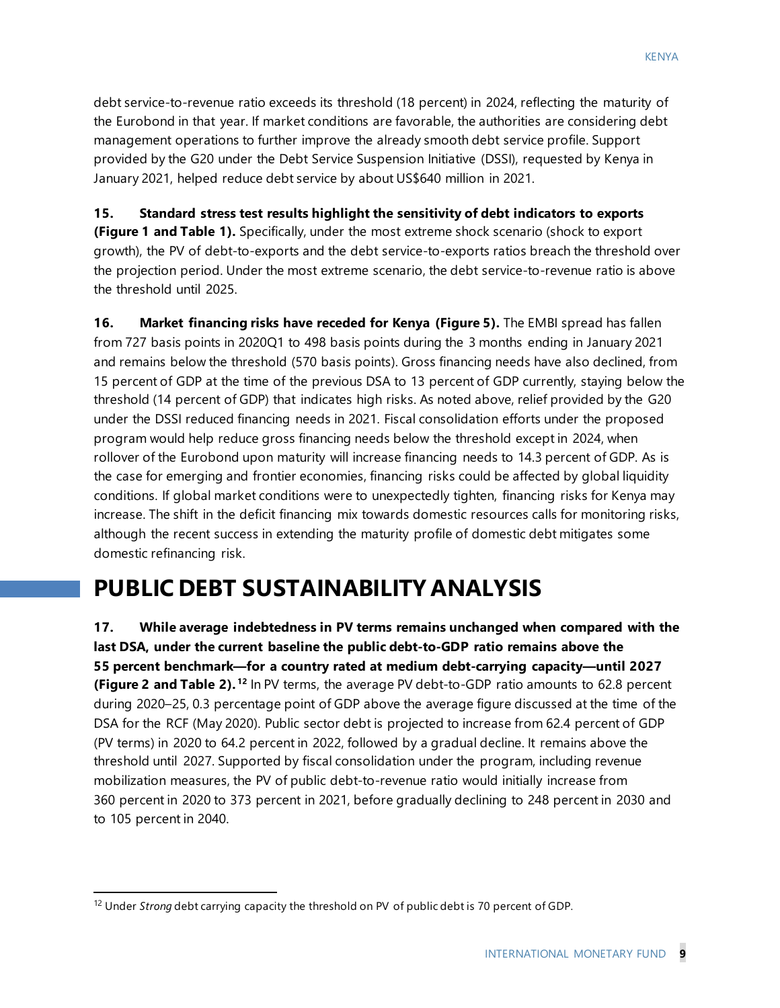debt service-to-revenue ratio exceeds its threshold (18 percent) in 2024, reflecting the maturity of the Eurobond in that year. If market conditions are favorable, the authorities are considering debt management operations to further improve the already smooth debt service profile. Support provided by the G20 under the Debt Service Suspension Initiative (DSSI), requested by Kenya in January 2021, helped reduce debt service by about US\$640 million in 2021.

**15. Standard stress test results highlight the sensitivity of debt indicators to exports (Figure 1 and Table 1).** Specifically, under the most extreme shock scenario (shock to export growth), the PV of debt-to-exports and the debt service-to-exports ratios breach the threshold over the projection period. Under the most extreme scenario, the debt service-to-revenue ratio is above the threshold until 2025.

**16. Market financing risks have receded for Kenya (Figure 5).** The EMBI spread has fallen from 727 basis points in 2020Q1 to 498 basis points during the 3 months ending in January 2021 and remains below the threshold (570 basis points). Gross financing needs have also declined, from 15 percent of GDP at the time of the previous DSA to 13 percent of GDP currently, staying below the threshold (14 percent of GDP) that indicates high risks. As noted above, relief provided by the G20 under the DSSI reduced financing needs in 2021. Fiscal consolidation efforts under the proposed program would help reduce gross financing needs below the threshold except in 2024, when rollover of the Eurobond upon maturity will increase financing needs to 14.3 percent of GDP. As is the case for emerging and frontier economies, financing risks could be affected by global liquidity conditions. If global market conditions were to unexpectedly tighten, financing risks for Kenya may increase. The shift in the deficit financing mix towards domestic resources calls for monitoring risks, although the recent success in extending the maturity profile of domestic debt mitigates some domestic refinancing risk.

# **PUBLIC DEBT SUSTAINABILITY ANALYSIS**

**17. While average indebtedness in PV terms remains unchanged when compared with the last DSA, under the current baseline the public debt-to-GDP ratio remains above the 55 percent benchmark—for a country rated at medium debt-carrying capacity—until 2027 (Figure 2 and Table 2). [12](#page-8-0)** In PV terms, the average PV debt-to-GDP ratio amounts to 62.8 percent during 2020–25, 0.3 percentage point of GDP above the average figure discussed at the time of the DSA for the RCF (May 2020). Public sector debt is projected to increase from 62.4 percent of GDP (PV terms) in 2020 to 64.2 percent in 2022, followed by a gradual decline. It remains above the threshold until 2027. Supported by fiscal consolidation under the program, including revenue mobilization measures, the PV of public debt-to-revenue ratio would initially increase from 360 percent in 2020 to 373 percent in 2021, before gradually declining to 248 percent in 2030 and to 105 percent in 2040.

<span id="page-8-0"></span><sup>12</sup> Under *Strong* debt carrying capacity the threshold on PV of public debt is 70 percent of GDP.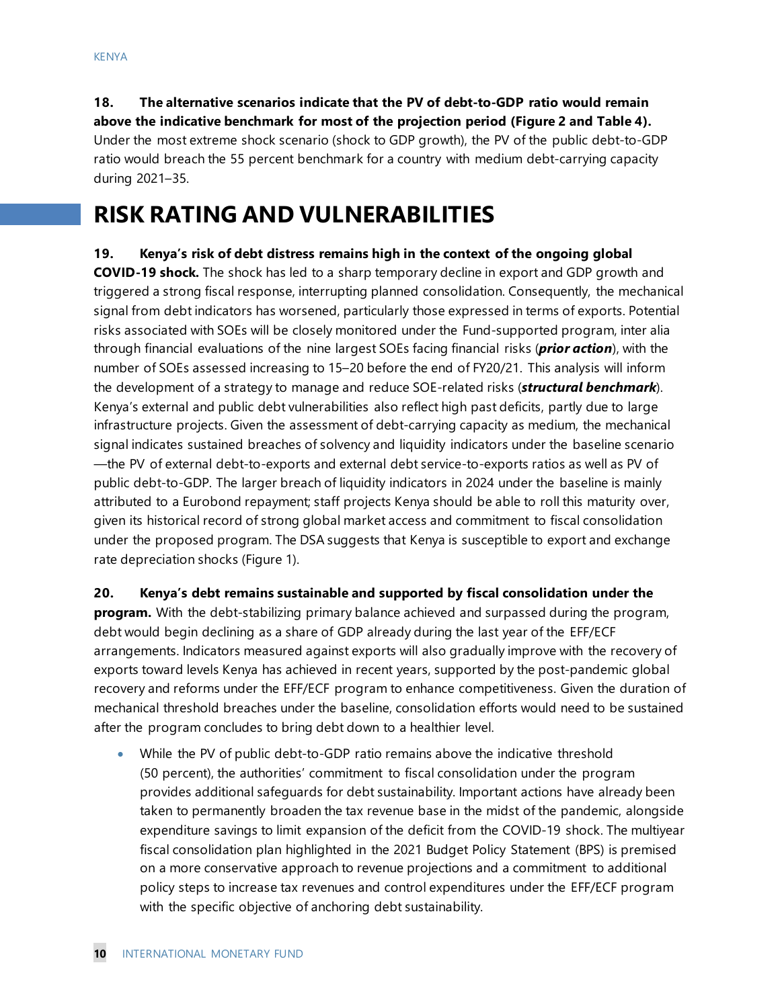**18. The alternative scenarios indicate that the PV of debt-to-GDP ratio would remain above the indicative benchmark for most of the projection period (Figure 2 and Table 4).**  Under the most extreme shock scenario (shock to GDP growth), the PV of the public debt-to-GDP ratio would breach the 55 percent benchmark for a country with medium debt-carrying capacity during 2021–35.

### **RISK RATING AND VULNERABILITIES**

**19. Kenya's risk of debt distress remains high in the context of the ongoing global COVID-19 shock.** The shock has led to a sharp temporary decline in export and GDP growth and triggered a strong fiscal response, interrupting planned consolidation. Consequently, the mechanical signal from debt indicators has worsened, particularly those expressed in terms of exports. Potential risks associated with SOEs will be closely monitored under the Fund-supported program, inter alia through financial evaluations of the nine largest SOEs facing financial risks (*prior action*), with the number of SOEs assessed increasing to 15–20 before the end of FY20/21. This analysis will inform the development of a strategy to manage and reduce SOE-related risks (*structural benchmark*). Kenya's external and public debt vulnerabilities also reflect high past deficits, partly due to large infrastructure projects. Given the assessment of debt-carrying capacity as medium, the mechanical signal indicates sustained breaches of solvency and liquidity indicators under the baseline scenario —the PV of external debt-to-exports and external debt service-to-exports ratios as well as PV of public debt-to-GDP. The larger breach of liquidity indicators in 2024 under the baseline is mainly attributed to a Eurobond repayment; staff projects Kenya should be able to roll this maturity over, given its historical record of strong global market access and commitment to fiscal consolidation under the proposed program. The DSA suggests that Kenya is susceptible to export and exchange rate depreciation shocks (Figure 1).

#### **20. Kenya's debt remains sustainable and supported by fiscal consolidation under the**

**program.** With the debt-stabilizing primary balance achieved and surpassed during the program, debt would begin declining as a share of GDP already during the last year of the EFF/ECF arrangements. Indicators measured against exports will also gradually improve with the recovery of exports toward levels Kenya has achieved in recent years, supported by the post-pandemic global recovery and reforms under the EFF/ECF program to enhance competitiveness. Given the duration of mechanical threshold breaches under the baseline, consolidation efforts would need to be sustained after the program concludes to bring debt down to a healthier level.

• While the PV of public debt-to-GDP ratio remains above the indicative threshold (50 percent), the authorities' commitment to fiscal consolidation under the program provides additional safeguards for debt sustainability. Important actions have already been taken to permanently broaden the tax revenue base in the midst of the pandemic, alongside expenditure savings to limit expansion of the deficit from the COVID-19 shock. The multiyear fiscal consolidation plan highlighted in the 2021 Budget Policy Statement (BPS) is premised on a more conservative approach to revenue projections and a commitment to additional policy steps to increase tax revenues and control expenditures under the EFF/ECF program with the specific objective of anchoring debt sustainability.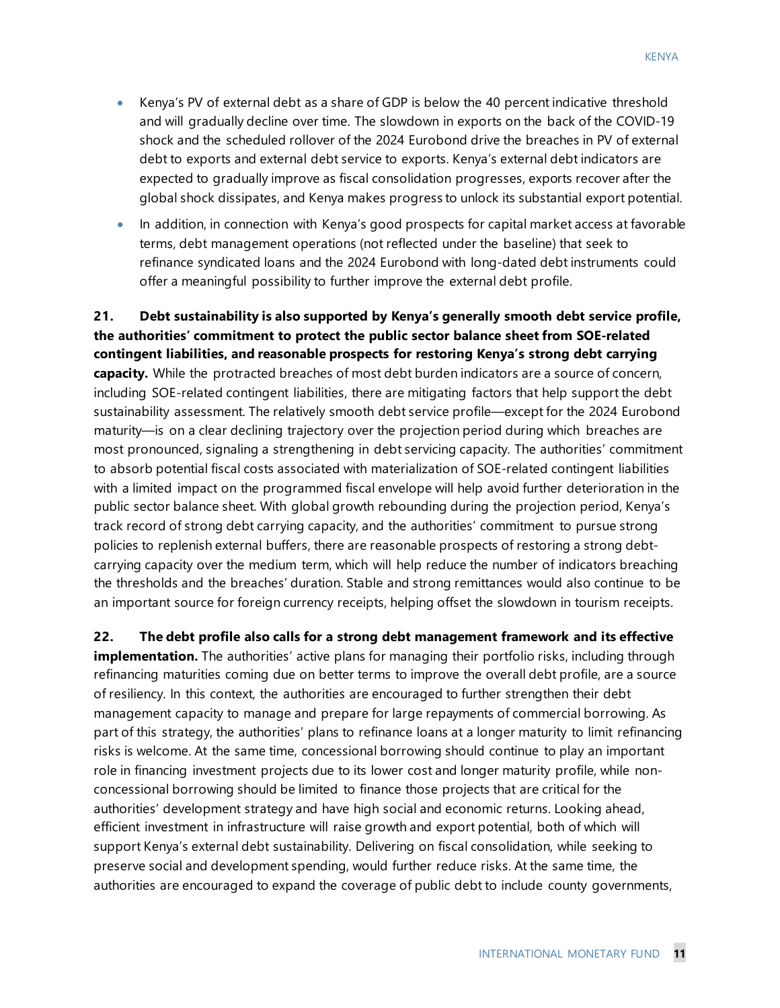- Kenya's PV of external debt as a share of GDP is below the 40 percent indicative threshold and will gradually decline over time. The slowdown in exports on the back of the COVID-19 shock and the scheduled rollover of the 2024 Eurobond drive the breaches in PV of external debt to exports and external debt service to exports. Kenya's external debt indicators are expected to gradually improve as fiscal consolidation progresses, exports recover after the global shock dissipates, and Kenya makes progress to unlock its substantial export potential.
- In addition, in connection with Kenya's good prospects for capital market access at favorable terms, debt management operations (not reflected under the baseline) that seek to refinance syndicated loans and the 2024 Eurobond with long-dated debt instruments could offer a meaningful possibility to further improve the external debt profile.

**21. Debt sustainability is also supported by Kenya's generally smooth debt service profile, the authorities' commitment to protect the public sector balance sheet from SOE-related contingent liabilities, and reasonable prospects for restoring Kenya's strong debt carrying capacity.** While the protracted breaches of most debt burden indicators are a source of concern, including SOE-related contingent liabilities, there are mitigating factors that help support the debt sustainability assessment. The relatively smooth debt service profile—except for the 2024 Eurobond maturity—is on a clear declining trajectory over the projection period during which breaches are most pronounced, signaling a strengthening in debt servicing capacity. The authorities' commitment to absorb potential fiscal costs associated with materialization of SOE-related contingent liabilities with a limited impact on the programmed fiscal envelope will help avoid further deterioration in the public sector balance sheet. With global growth rebounding during the projection period, Kenya's track record of strong debt carrying capacity, and the authorities' commitment to pursue strong policies to replenish external buffers, there are reasonable prospects of restoring a strong debtcarrying capacity over the medium term, which will help reduce the number of indicators breaching the thresholds and the breaches' duration. Stable and strong remittances would also continue to be an important source for foreign currency receipts, helping offset the slowdown in tourism receipts.

**22. The debt profile also calls for a strong debt management framework and its effective implementation.** The authorities' active plans for managing their portfolio risks, including through refinancing maturities coming due on better terms to improve the overall debt profile, are a source of resiliency. In this context, the authorities are encouraged to further strengthen their debt management capacity to manage and prepare for large repayments of commercial borrowing. As part of this strategy, the authorities' plans to refinance loans at a longer maturity to limit refinancing risks is welcome. At the same time, concessional borrowing should continue to play an important role in financing investment projects due to its lower cost and longer maturity profile, while nonconcessional borrowing should be limited to finance those projects that are critical for the authorities' development strategy and have high social and economic returns. Looking ahead, efficient investment in infrastructure will raise growth and export potential, both of which will support Kenya's external debt sustainability. Delivering on fiscal consolidation, while seeking to preserve social and development spending, would further reduce risks. At the same time, the authorities are encouraged to expand the coverage of public debt to include county governments,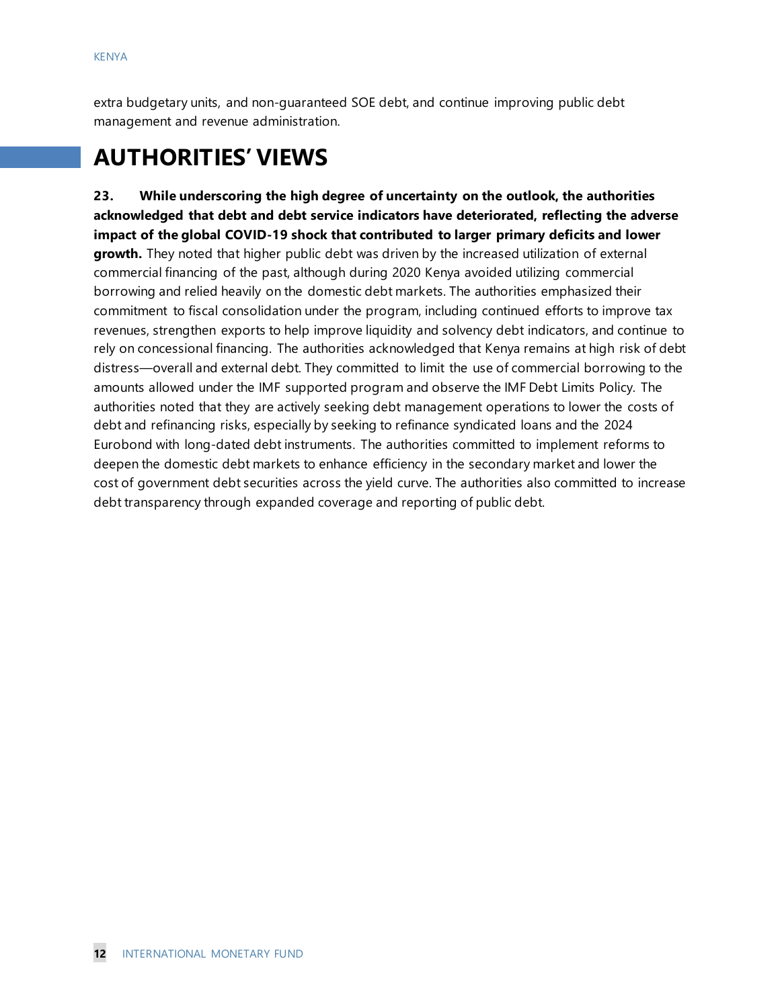extra budgetary units, and non-guaranteed SOE debt, and continue improving public debt management and revenue administration.

# **AUTHORITIES' VIEWS**

**23. While underscoring the high degree of uncertainty on the outlook, the authorities acknowledged that debt and debt service indicators have deteriorated, reflecting the adverse impact of the global COVID-19 shock that contributed to larger primary deficits and lower growth.** They noted that higher public debt was driven by the increased utilization of external commercial financing of the past, although during 2020 Kenya avoided utilizing commercial borrowing and relied heavily on the domestic debt markets. The authorities emphasized their commitment to fiscal consolidation under the program, including continued efforts to improve tax revenues, strengthen exports to help improve liquidity and solvency debt indicators, and continue to rely on concessional financing. The authorities acknowledged that Kenya remains at high risk of debt distress—overall and external debt. They committed to limit the use of commercial borrowing to the amounts allowed under the IMF supported program and observe the IMF Debt Limits Policy. The authorities noted that they are actively seeking debt management operations to lower the costs of debt and refinancing risks, especially by seeking to refinance syndicated loans and the 2024 Eurobond with long-dated debt instruments. The authorities committed to implement reforms to deepen the domestic debt markets to enhance efficiency in the secondary market and lower the cost of government debt securities across the yield curve. The authorities also committed to increase debt transparency through expanded coverage and reporting of public debt.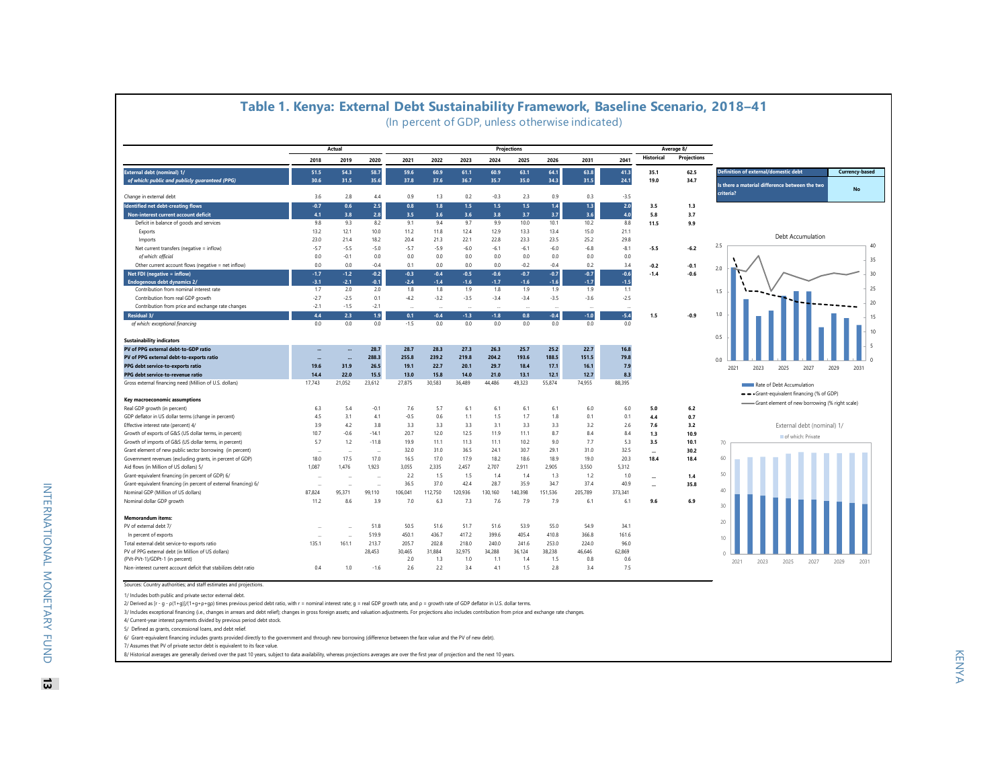|                                                                  |        | Actual |         |         |         |         |         | <b>Projections</b> |         |         |         |                   | Average 8/         |                                                        |
|------------------------------------------------------------------|--------|--------|---------|---------|---------|---------|---------|--------------------|---------|---------|---------|-------------------|--------------------|--------------------------------------------------------|
|                                                                  | 2018   | 2019   | 2020    | 2021    | 2022    | 2023    | 2024    | 2025               | 2026    | 2031    | 2041    | <b>Historical</b> | <b>Projections</b> |                                                        |
| External debt (nominal) 1/                                       | 51.5   | 54.3   | 58.7    | 59.6    | 60.9    | 61.1    | 60.9    | 63.1               | 64.1    | 63.8    | 41.3    | 35.1              | 62.5               | Definition of external/domestic debt<br>Currency-based |
| of which: public and publicly guaranteed (PPG)                   | 30.6   | 31.5   | 35.6    | 37.8    | 37.6    | 36.7    | 35.7    | 35.0               | 34.3    | 31.5    | 24.1    | 19.0              | 34.7               | Is there a material difference between the two         |
| Change in external debt                                          | 3.6    | 2.8    | 4.4     | 0.9     | 1.3     | 0.2     | $-0.3$  | 2.3                | 0.9     | 0.3     | $-3.5$  |                   |                    | criteria?                                              |
| Identified net debt-creating flows                               | $-0.7$ | 0.6    | 2.5     | 0.8     | 1.8     | 1.5     | 1.5     | 1.5                | 1.4     | 1.3     | $2.0$   | 3.5               | 1.3                |                                                        |
| Non-interest current account deficit                             | 4.1    | 3.8    | 2.8     | 3.5     | 3.6     | 3.6     | 3.8     | 3.7                | 3.7     | 3.6     | 4.0     | 5.8               | 3.7                |                                                        |
| Deficit in balance of goods and services                         | 9.8    | 9.3    | 8.2     | 9.1     | 9.4     | 9.7     | 9.9     | 10.0               | 10.1    | 10.2    | 8.8     | 11.5              | 9.9                |                                                        |
| Exports                                                          | 13.2   | 12.1   | 10.0    | 11.2    | 11.8    | 12.4    | 12.9    | 13.3               | 13.4    | 15.0    | 21.1    |                   |                    |                                                        |
| Imports                                                          | 23.0   | 21.4   | 18.2    | 20.4    | 21.3    | 22.1    | 22.8    | 23.3               | 23.5    | 25.2    | 29.8    |                   |                    | Debt Accumulation                                      |
| Net current transfers (negative = inflow)                        | $-5.7$ | $-5.5$ | $-5.0$  | $-5.7$  | $-5.9$  | $-6.0$  | $-6.1$  | $-6.1$             | $-6.0$  | $-6.8$  | $-8.1$  | $-5.5$            | $-6.2$             | 2.5                                                    |
| of which: official                                               | 0.0    | $-0.1$ | 0.0     | 0.0     | 0.0     | 0.0     | 0.0     | 0.0                | 0.0     | 0.0     | 0.0     |                   |                    |                                                        |
| Other current account flows (negative = net inflow)              | 0.0    | 0.0    | $-0.4$  | 0.1     | 0.0     | 0.0     | 0.0     | $-0.2$             | $-0.4$  | 0.2     | 3.4     | $-0.2$            | $-0.1$             | 2.0                                                    |
| Net FDI (negative = inflow)                                      | $-1.7$ | $-1.2$ | $-0.2$  | $-0.3$  | $-0.4$  | $-0.5$  | $-0.6$  | $-0.7$             | $-0.7$  | $-0.7$  | $-0.6$  | $-1.4$            | $-0.6$             |                                                        |
| Endogenous debt dynamics 2/                                      | $-3.1$ | $-2.1$ | $-0.1$  | $-2.4$  | $-1.4$  | $-1.6$  | $-1.7$  | $-1.6$             | $-1.6$  | $-1.7$  | $-1.5$  |                   |                    |                                                        |
| Contribution from nominal interest rate                          | 1.7    | 2.0    | 2.0     | 1.8     | 1.8     | 1.9     | 1.8     | 1.9                | 1.9     | 1.9     | 1.1     |                   |                    | 1.5                                                    |
| Contribution from real GDP growth                                | $-2.7$ | $-2.5$ | 0.1     | $-4.2$  | $-3.2$  | $-3.5$  | $-3.4$  | $-3.4$             | $-3.5$  | $-3.6$  | $-2.5$  |                   |                    |                                                        |
| Contribution from price and exchange rate changes                | $-2.1$ | $-1.5$ | $-2.1$  | $\sim$  |         |         |         |                    |         |         |         |                   |                    |                                                        |
| Residual 3/                                                      | 4.4    | 2.3    | 1.9     | 0.1     | $-0.4$  | $-1.3$  | $-1.8$  | 0.8                | $-0.4$  | $-1.0$  | $-5.4$  | 1.5               | $-0.9$             | 1.0                                                    |
| of which: exceptional financing                                  | 0.0    | 0.0    | 0.0     | $-1.5$  | 0.0     | 0.0     | 0.0     | 0.0                | 0.0     | $0.0\,$ | 0.0     |                   |                    |                                                        |
|                                                                  |        |        |         |         |         |         |         |                    |         |         |         |                   |                    |                                                        |
| <b>Sustainability indicators</b>                                 |        |        |         |         |         |         |         |                    |         |         |         |                   |                    | 0.5                                                    |
| PV of PPG external debt-to-GDP ratio                             |        |        | 28.7    | 28.7    | 28.3    | 27.3    | 26.3    | 25.7               | 25.2    | 22.7    | 16.8    |                   |                    |                                                        |
| PV of PPG external debt-to-exports ratio                         |        |        | 288.3   | 255.8   | 239.2   | 219.8   | 204.2   | 193.6              | 188.5   | 151.5   | 79.8    |                   |                    | 0.0                                                    |
| PPG debt service-to-exports ratio                                | 19.6   | 31.9   | 26.5    | 19.1    | 22.7    | 20.1    | 29.7    | 18.4               | 17.1    | 16.1    | 7.9     |                   |                    | 2023<br>2027<br>2021<br>2025<br>2029                   |
| PPG debt service-to-revenue ratio                                | 14.4   | 22.0   | 15.5    | 13.0    | 15.8    | 14.0    | 21.0    | 13.1               | 12.1    | 12.7    | 8.3     |                   |                    |                                                        |
| Gross external financing need (Million of U.S. dollars)          | 17,743 | 21,052 | 23,612  | 27,875  | 30.583  | 36.489  | 44,486  | 49.323             | 55.874  | 74,955  | 88.395  |                   |                    | Rate of Debt Accumulation                              |
|                                                                  |        |        |         |         |         |         |         |                    |         |         |         |                   |                    | -- Grant-equivalent financing (% of GDP)               |
| Key macroeconomic assumptions                                    |        |        |         |         |         |         |         |                    |         |         |         |                   |                    | Grant element of new borrowing (% right scale)         |
| Real GDP growth (in percent)                                     | 6.3    | 5.4    | $-0.1$  | 7.6     | 5.7     | 6.1     | 6.1     | 6.1                | 6.1     | 6.0     | 6.0     | 5.0               | 6.2                |                                                        |
| GDP deflator in US dollar terms (change in percent)              | 4.5    | 3.1    | 4.1     | $-0.5$  | 0.6     | 1.1     | 1.5     | 1.7                | 1.8     | 0.1     | 0.1     | 4.4               | 0.7                |                                                        |
| Effective interest rate (percent) 4/                             | 3.9    | 4.2    | 3.8     | 3.3     | 3.3     | 3.3     | 3.1     | 3.3                | 3.3     | 3.2     | 2.6     | 7.6               | 3.2                | External debt (nominal) 1/                             |
| Growth of exports of G&S (US dollar terms, in percent)           | 10.7   | $-0.6$ | $-14.1$ | 20.7    | 12.0    | 12.5    | 11.9    | 11.1               | 8.7     | 8.4     | 8.4     | 1.3               | 10.9               | of which: Private                                      |
| Growth of imports of G&S (US dollar terms, in percent)           | 5.7    | 1.2    | $-11.8$ | 19.9    | 11.1    | 11.3    | 11.1    | 10.2               | 9.0     | 7.7     | 5.3     | 3.5               | 10.1               | 70                                                     |
| Grant element of new public sector borrowing (in percent)        |        | $\sim$ |         | 32.0    | 31.0    | 36.5    | 24.1    | 30.7               | 29.1    | 31.0    | 32.5    | $\sim$            | 30.2               |                                                        |
| Government revenues (excluding grants, in percent of GDP)        | 18.0   | 17.5   | 17.0    | 16.5    | 17.0    | 17.9    | 18.2    | 18.6               | 18.9    | 19.0    | 20.3    | 18.4              | 18.4               | 60                                                     |
| Aid flows (in Million of US dollars) 5/                          | 1.087  | 1.476  | 1.923   | 3,055   | 2.335   | 2.457   | 2,707   | 2.911              | 2.905   | 3.550   | 5.312   |                   |                    |                                                        |
| Grant-equivalent financing (in percent of GDP) 6/                |        |        |         | 2.2     | 1.5     | 1.5     | 1.4     | 1.4                | 1.3     | 1.2     | 1.0     | $\cdots$          | 1.4                | 50                                                     |
| Grant-equivalent financing (in percent of external financing) 6/ | $\sim$ | $\sim$ |         | 36.5    | 37.0    | 42.4    | 28.7    | 35.9               | 34.7    | 37.4    | 40.9    |                   | 35.8               |                                                        |
| Nominal GDP (Million of US dollars)                              | 87,824 | 95,371 | 99,110  | 106,041 | 112,750 | 120,936 | 130,160 | 140.398            | 151,536 | 205,789 | 373,341 |                   |                    | 40                                                     |
| Nominal dollar GDP growth                                        | 11.2   | 8.6    | 3.9     | 7.0     | 6.3     | 7.3     | 7.6     | 7.9                | 7.9     | 6.1     | 6.1     | 9.6               | 6.9                |                                                        |
|                                                                  |        |        |         |         |         |         |         |                    |         |         |         |                   |                    | 30                                                     |
| <b>Memorandum items:</b>                                         |        |        |         |         |         |         |         |                    |         |         |         |                   |                    |                                                        |
| PV of external debt 7/                                           |        |        | 51.8    | 50.5    | 51.6    | 51.7    | 51.6    | 53.9               | 55.0    | 54.9    | 34.1    |                   |                    | 20                                                     |
| In percent of exports                                            | $\sim$ | $\sim$ | 519.9   | 450.1   | 436.7   | 417.2   | 399.6   | 405.4              | 410.8   | 366.8   | 161.6   |                   |                    |                                                        |
| Total external debt service-to-exports ratio                     | 135.1  | 161.1  | 213.7   | 205.7   | 202.8   | 218.0   | 240.0   | 241.6              | 253.0   | 224.0   | 96.0    |                   |                    | 10                                                     |
| PV of PPG external debt (in Million of US dollars)               |        |        | 28,453  | 30,465  | 31,884  | 32,975  | 34,288  | 36,124             | 38,238  | 46,646  | 62,869  |                   |                    |                                                        |
|                                                                  |        |        |         | 2.0     | 1.3     | 1.0     | 1.1     | 1.4                | 1.5     | 0.8     | 0.6     |                   |                    | 2021<br>2023<br>2025<br>2027<br>2029                   |
| (PVt-PVt-1)/GDPt-1 (in percent)                                  |        |        |         |         |         |         |         |                    |         |         |         |                   |                    |                                                        |

#### **Table 1. Kenya: External Debt Sustainability Framework, Baseline Scenario, 2018–41**

(In percent of GDP, unless otherwise indicated)

1/ Includes both public and private sector external debt.

2/ Derived as [r - g - ρ(1+g)]/(1+g+ρ+gp) times previous period debt ratio, with r = nominal interest rate; g = real GDP growth rate, and ρ = growth rate of GDP deflator in U.S. dollar terms.

3/ Includes exceptional financing (i.e., changes in arrears and debt relief); changes in gross foreign assets; and valuation adjustments. For projections also includes contribution from price and exchange rate changes.

4/ Current-year interest payments divided by previous period debt stock.

5/ Defined as grants, concessional loans, and debt relief.

6/ Grant-equivalent financing includes grants provided directly to the government and through new borrowing (difference between the face value and the PV of new debt).

7/ Assumes that PV of private sector debt is equivalent to its face value.

8/ Historical averages are generally derived over the past 10 years, subject to data availability, whereas projections averages are over the first year of projection and the next 10 years.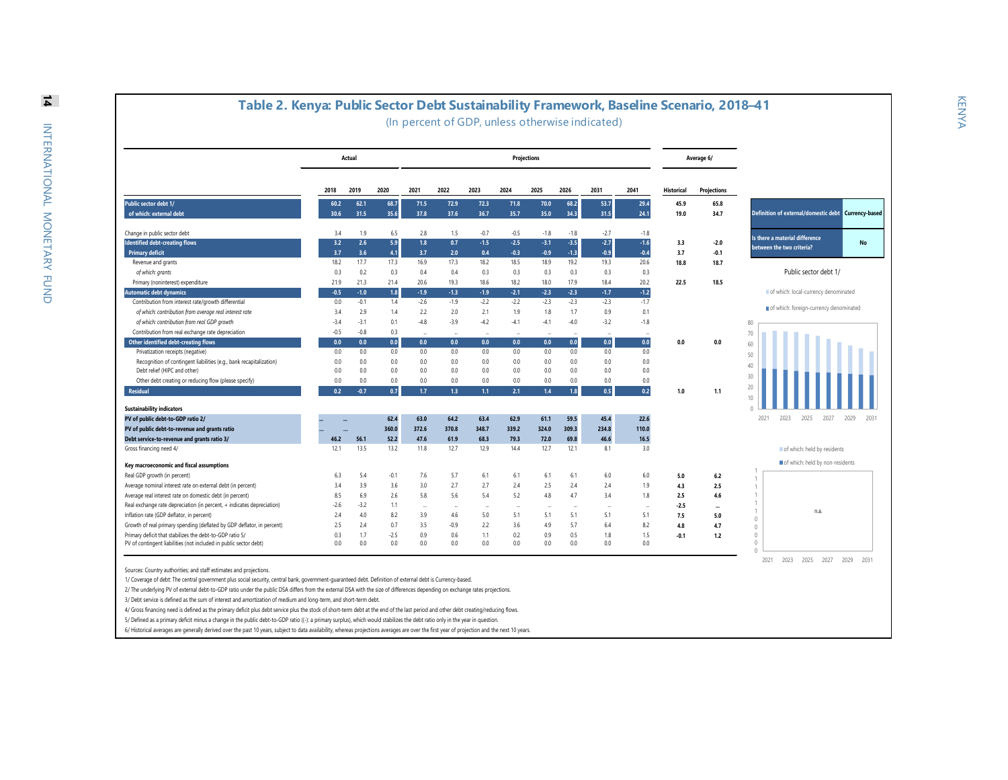|                                                                        |              | Actual       |              |              |                          |              | <b>Projections</b> |              |              |              |              |                   | Average 6/           |                                                        |
|------------------------------------------------------------------------|--------------|--------------|--------------|--------------|--------------------------|--------------|--------------------|--------------|--------------|--------------|--------------|-------------------|----------------------|--------------------------------------------------------|
|                                                                        | 2018         | 2019         | 2020         | 2021         | 2022                     | 2023         | 2024               | 2025         | 2026         | 2031         | 2041         | <b>Historical</b> | <b>Projections</b>   |                                                        |
| Public sector debt 1/<br>of which: external debt                       | 60.2<br>30.6 | 62.1<br>31.5 | 68.7<br>35.6 | 71.5<br>37.8 | 72.9<br>37.6             | 72.3<br>36.7 | 71.8<br>35.7       | 70.0<br>35.0 | 68.2<br>34.3 | 53.7<br>31.5 | 29.4<br>24.1 | 45.9<br>19.0      | 65.8<br>34.7         | Definition of external/domestic debt<br>Currency-based |
|                                                                        |              |              |              |              |                          |              |                    |              |              |              |              |                   |                      |                                                        |
| Change in public sector debt                                           | 3.4          | 1.9          | 6.5          | 2.8          | 1.5                      | $-0.7$       | $-0.5$             | $-1.8$       | $-1.8$       | $-2.7$       | $-1.8$       |                   |                      | Is there a material difference                         |
| <b>Identified debt-creating flows</b>                                  | 3.2          | 2.6          | 5.9          | 1.8          | 0.7                      | $-1.5$       | $-2.5$             | $-3.1$       | $-3.5$       | $-2.7$       | $-1.6$       | 3.3               | $-2.0$               | No<br>between the two criteria?                        |
| <b>Primary deficit</b>                                                 | 3.7          | 3.6          | 4.1          | 3.7          | 2.0                      | 0.4          | $-0.3$             | $-0.9$       | $-1.3$       | $-0.9$       | $-0.4$       | 3.7               | $-0.1$               |                                                        |
| Revenue and grants                                                     | 18.2         | 17.7         | 17.3         | 16.9         | 17.3                     | 18.2         | 18.5               | 18.9         | 19.2         | 19.3         | 20.6         | 18.8              | 18.7                 |                                                        |
| of which: grants                                                       | 0.3          | 0.2          | 0.3          | 0.4          | 0.4                      | 0.3          | 0.3                | 0.3          | 0.3          | 0.3          | 0.3          |                   |                      | Public sector debt 1/                                  |
| Primary (noninterest) expenditure                                      | 21.9         | 21.3         | 21.4         | 20.6         | 19.3                     | 18.6         | 18.2               | 18.0         | 17.9         | 18.4         | 20.2         | 22.5              | 18.5                 |                                                        |
| <b>Automatic debt dynamics</b>                                         | $-0.5$       | $-1.0$       | 1.8          | $-1.9$       | $-1.3$                   | $-1.9$       | $-2.1$             | $-2.3$       | $-2.3$       | $-1.7$       | $-1.2$       |                   |                      | of which: local-currency denominated                   |
| Contribution from interest rate/growth differential                    | 0.0          | $-0.1$       | 1.4          | $-2.6$       | $-1.9$                   | $-2.2$       | $-2.2$             | $-2.3$       | $-2.3$       | $-2.3$       | $-1.7$       |                   |                      |                                                        |
| of which: contribution from average real interest rate                 | 3.4          | 2.9          | 1.4          | 2.2          | 2.0                      | 2.1          | 1.9                | 1.8          | 1.7          | 0.9          | 0.1          |                   |                      | of which: foreign-currency denominated                 |
| of which: contribution from real GDP growth                            | $-3.4$       | $-3.1$       | 0.1          | $-4.8$       | $-3.9$                   | $-4.2$       | $-4.1$             | $-4.1$       | $-4.0$       | $-3.2$       | $-1.8$       |                   |                      | 80                                                     |
| Contribution from real exchange rate depreciation                      | $-0.5$       | $-0.8$       | 0.3          |              |                          |              |                    |              |              |              |              |                   |                      | 70                                                     |
| <b>Other identified debt-creating flows</b>                            | 0.0          | 0.0          | 0.0          | 0.0          | 0.0                      | 0.0          | 0.0                | 0.0          | 0.0          | 0.0          | 0.0          | 0.0               | 0.0                  | 60                                                     |
| Privatization receipts (negative)                                      | 0.0          | 0.0          | 0.0          | 0.0          | 0.0                      | 0.0          | 0.0                | 0.0          | 0.0          | 0.0          | 0.0          |                   |                      | 50                                                     |
| Recognition of contingent liabilities (e.g., bank recapitalization)    | 0.0          | 0.0          | 0.0          | 0.0          | 0.0                      | 0.0          | 0.0                | 0.0          | 0.0          | 0.0          | 0.0          |                   |                      | 40                                                     |
| Debt relief (HIPC and other)                                           | 0.0          | 0.0          | 0.0          | 0.0          | 0.0                      | 0.0          | 0.0                | 0.0          | 0.0          | 0.0          | 0.0          |                   |                      | 30                                                     |
| Other debt creating or reducing flow (please specify)                  | 0.0          | 0.0          | 0.0          | 0.0          | 0.0                      | 0.0          | 0.0                | 0.0          | 0.0          | 0.0          | 0.0          |                   |                      | 20                                                     |
| Residual                                                               | 0.2          | $-0.7$       | 0.7          | 1.7          | 1.3                      | 1.1          | 2.1                | 1.4          | 1.8          | 0.5          | 0.2          | 1.0               | 1.1                  | 10                                                     |
| <b>Sustainability indicators</b>                                       |              |              |              |              |                          |              |                    |              |              |              |              |                   |                      |                                                        |
| PV of public debt-to-GDP ratio 2/                                      |              |              | 62.4         | 63.0         | 64.2                     | 63.4         | 62.9               | 61.1         | 59.5         | 45.4         | 22.6         |                   |                      | 2021<br>2023<br>2025<br>2027<br>2029<br>2031           |
| PV of public debt-to-revenue and grants ratio                          |              |              | 360.0        | 372.6        | 370.8                    | 348.7        | 339.2              | 324.0        | 309.3        | 234.8        | 110.0        |                   |                      |                                                        |
| Debt service-to-revenue and grants ratio 3/                            | 46.2         | 56.1         | 52.2         | 47.6         | 61.9                     | 68.3         | 79.3               | 72.0         | 69.8         | 46.6         | 16.5         |                   |                      |                                                        |
| Gross financing need 4/                                                | 12.1         | 13.5         | 13.2         | 11.8         | 12.7                     | 12.9         | 14.4               | 12.7         | 12.1         | 8.1          | 3.0          |                   |                      | of which: held by residents                            |
| Key macroeconomic and fiscal assumptions                               |              |              |              |              |                          |              |                    |              |              |              |              |                   |                      | of which: held by non-residents                        |
| Real GDP growth (in percent)                                           | 6.3          | 5.4          | $-0.1$       | 7.6          | 5.7                      | 6.1          | 6.1                | 6.1          | 6.1          | 6.0          | 6.0          | 5.0               | 6.2                  | $\mathbf{1}$                                           |
| Average nominal interest rate on external debt (in percent)            | 3.4          | 3.9          | 3.6          | 3.0          | 2.7                      | 2.7          | 2.4                | 2.5          | 2.4          | 2.4          | 1.9          | 4.3               | 2.5                  |                                                        |
| Average real interest rate on domestic debt (in percent)               | 8.5          | 6.9          | 2.6          | 5.8          | 5.6                      | 5.4          | 5.2                | 4.8          | 4.7          | 3.4          | 1.8          | 2.5               | 4.6                  |                                                        |
| Real exchange rate depreciation (in percent, + indicates depreciation) | $-2.6$       | $-3.2$       | 1.1          | $\sim$       | $\overline{\phantom{a}}$ |              | ÷                  |              | $\sim$       |              | $\sim$       | $-2.5$            | $\ddot{\phantom{a}}$ |                                                        |
| Inflation rate (GDP deflator, in percent)                              | 2.4          | 4.0          | 8.2          | 3.9          | 4.6                      | 5.0          | 5.1                | 5.1          | 5.1          | 5.1          | 5.1          | 7.5               | 5.0                  | n.a.<br>$\theta$                                       |
| Growth of real primary spending (deflated by GDP deflator, in percent) | 2.5          | 2.4          | 0.7          | 3.5          | $-0.9$                   | 2.2          | 3.6                | 4.9          | 5.7          | 6.4          | 8.2          | 4.8               | 4.7                  | $\theta$                                               |
| Primary deficit that stabilizes the debt-to-GDP ratio 5/               | 0.3          | 1.7          | $-2.5$       | 0.9          | 0.6                      | 1.1          | 0.2                | 0.9          | 0.5          | 1.8          | 1.5          | $-0.1$            | 1.2                  | $\theta$                                               |
| PV of contingent liabilities (not included in public sector debt)      | 0.0          | 0.0          | 0.0          | 0.0          | 0.0                      | 0.0          | 0.0                | 0.0          | 0.0          | 0.0          | 0.0          |                   |                      | $\theta$                                               |

2/ The underlying PV of external debt-to-GDP ratio under the public DSA differs from the external DSA with the size of differences depending on exchange rates projections.

3/ Debt service is defined as the sum of interest and amortization of medium and long-term, and short-term debt.

4/ Gross financing need is defined as the primary deficit plus debt service plus the stock of short-term debt at the end of the last period and other debt creating/reducing flows.

5/ Defined as a primary deficit minus a change in the public debt-to-GDP ratio ((-): a primary surplus), which would stabilizes the debt ratio only in the year in question.

6/ Historical averages are generally derived over the past 10 years, subject to data availability, whereas projections averages are over the first year of projection and the next 10 years.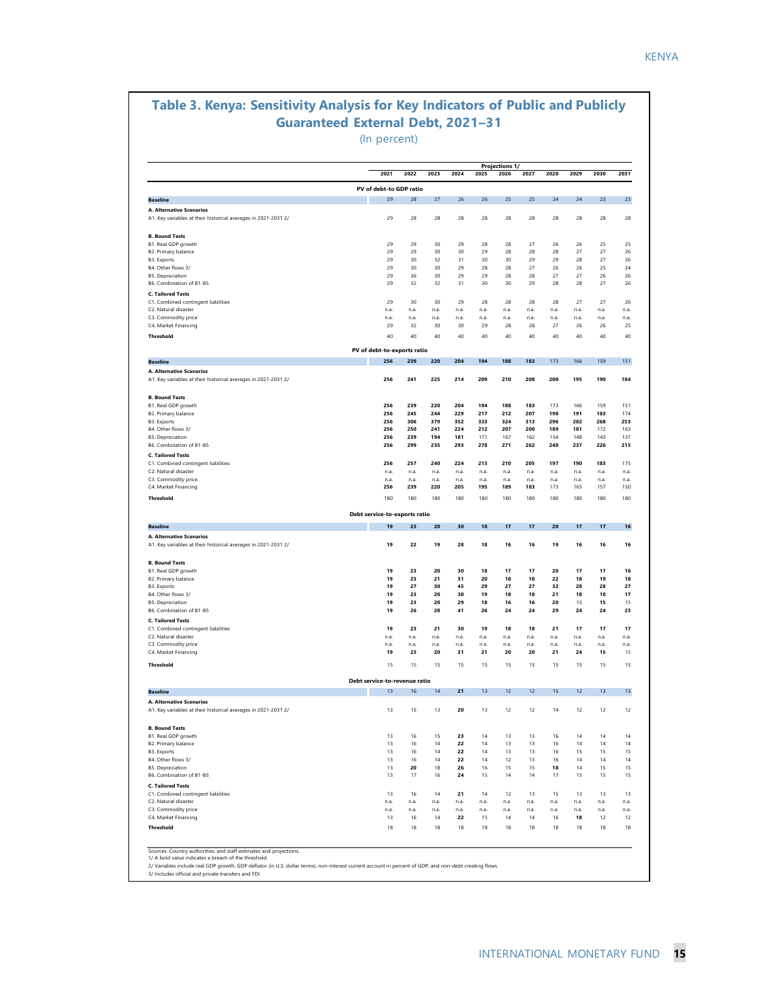#### **Table 3. Kenya: Sensitivity Analysis for Key Indicators of Public and Publicly Guaranteed External Debt, 2021–31**

(In percent)

| 2021<br>PV of debt-to GDP ratio<br>29<br>29<br>29<br>29<br>29<br>29<br>29<br>29<br>29<br>n.a.<br>n.a.<br>29<br>40<br>PV of debt-to-exports ratio<br>256<br>256<br>256<br>256<br>256<br>256<br>256<br>256<br>256<br>n.a.<br>n.a.<br>256 | 2022<br>28<br>28<br>29<br>29<br>30<br>30<br>36<br>32<br>30<br>n.a.<br>n.a.<br>32<br>40<br>239<br>241<br>239<br>245<br>306<br>250<br>239<br>299<br>257 | 2023<br>27<br>28<br>30<br>30<br>32<br>30<br>30<br>32<br>30<br>n.a.<br>n.a.<br>30<br>40<br>220<br>225<br>220<br>244<br>379<br>241<br>194<br>235 | 2024<br>26<br>28<br>29<br>30<br>31<br>29<br>29<br>31<br>29<br>n.a.<br>n.a.<br>30<br>40<br>204<br>214<br>204<br>229<br>352<br>224<br>181                                                                                                                                                                 | 2025<br>26<br>28<br>28<br>29<br>30<br>28<br>29<br>30<br>28<br>n.a.<br>n.a.<br>29<br>40<br>194<br>209<br>194<br>217<br>333<br>212 | 2026<br>25<br>28<br>28<br>28<br>30<br>28<br>28<br>30<br>28<br>n.a.<br>n.a.<br>28<br>40<br>188<br>210<br>188<br>212<br>324 | 2027<br>25<br>28<br>27<br>28<br>29<br>27<br>28<br>29<br>28<br>n.a.<br>n.a.<br>28<br>40<br>183<br>208<br>183<br>207<br>313 | 2028<br>24<br>28<br>26<br>28<br>29<br>26<br>27<br>28<br>28<br>n.a.<br>n.a.<br>27<br>40<br>173<br>200<br>173<br>198 | 2029<br>24<br>28<br>26<br>27<br>28<br>26<br>27<br>28<br>27<br>n.a.<br>n.a.<br>26<br>40<br>166<br>195<br>166<br>191 | 2030<br>23<br>28<br>25<br>27<br>27<br>25<br>26<br>27<br>27<br>n.a.<br>n.a.<br>26<br>40<br>159<br>190<br>159<br>183 | 2031<br>23<br>28<br>25<br>26<br>26<br>24<br>26<br>26<br>26<br>n.a.<br>n.a.<br>25<br>40<br>151<br>184<br>151 |
|----------------------------------------------------------------------------------------------------------------------------------------------------------------------------------------------------------------------------------------|-------------------------------------------------------------------------------------------------------------------------------------------------------|------------------------------------------------------------------------------------------------------------------------------------------------|---------------------------------------------------------------------------------------------------------------------------------------------------------------------------------------------------------------------------------------------------------------------------------------------------------|----------------------------------------------------------------------------------------------------------------------------------|---------------------------------------------------------------------------------------------------------------------------|---------------------------------------------------------------------------------------------------------------------------|--------------------------------------------------------------------------------------------------------------------|--------------------------------------------------------------------------------------------------------------------|--------------------------------------------------------------------------------------------------------------------|-------------------------------------------------------------------------------------------------------------|
|                                                                                                                                                                                                                                        |                                                                                                                                                       |                                                                                                                                                |                                                                                                                                                                                                                                                                                                         |                                                                                                                                  |                                                                                                                           |                                                                                                                           |                                                                                                                    |                                                                                                                    |                                                                                                                    |                                                                                                             |
|                                                                                                                                                                                                                                        |                                                                                                                                                       |                                                                                                                                                |                                                                                                                                                                                                                                                                                                         |                                                                                                                                  |                                                                                                                           |                                                                                                                           |                                                                                                                    |                                                                                                                    |                                                                                                                    |                                                                                                             |
|                                                                                                                                                                                                                                        |                                                                                                                                                       |                                                                                                                                                |                                                                                                                                                                                                                                                                                                         |                                                                                                                                  |                                                                                                                           |                                                                                                                           |                                                                                                                    |                                                                                                                    |                                                                                                                    |                                                                                                             |
|                                                                                                                                                                                                                                        |                                                                                                                                                       |                                                                                                                                                |                                                                                                                                                                                                                                                                                                         |                                                                                                                                  |                                                                                                                           |                                                                                                                           |                                                                                                                    |                                                                                                                    |                                                                                                                    |                                                                                                             |
|                                                                                                                                                                                                                                        |                                                                                                                                                       |                                                                                                                                                |                                                                                                                                                                                                                                                                                                         |                                                                                                                                  |                                                                                                                           |                                                                                                                           |                                                                                                                    |                                                                                                                    |                                                                                                                    |                                                                                                             |
|                                                                                                                                                                                                                                        |                                                                                                                                                       |                                                                                                                                                |                                                                                                                                                                                                                                                                                                         |                                                                                                                                  |                                                                                                                           |                                                                                                                           |                                                                                                                    |                                                                                                                    |                                                                                                                    |                                                                                                             |
|                                                                                                                                                                                                                                        |                                                                                                                                                       |                                                                                                                                                |                                                                                                                                                                                                                                                                                                         |                                                                                                                                  |                                                                                                                           |                                                                                                                           |                                                                                                                    |                                                                                                                    |                                                                                                                    |                                                                                                             |
|                                                                                                                                                                                                                                        |                                                                                                                                                       |                                                                                                                                                |                                                                                                                                                                                                                                                                                                         |                                                                                                                                  |                                                                                                                           |                                                                                                                           |                                                                                                                    |                                                                                                                    |                                                                                                                    |                                                                                                             |
|                                                                                                                                                                                                                                        |                                                                                                                                                       |                                                                                                                                                |                                                                                                                                                                                                                                                                                                         |                                                                                                                                  |                                                                                                                           |                                                                                                                           |                                                                                                                    |                                                                                                                    |                                                                                                                    |                                                                                                             |
|                                                                                                                                                                                                                                        |                                                                                                                                                       |                                                                                                                                                |                                                                                                                                                                                                                                                                                                         |                                                                                                                                  |                                                                                                                           |                                                                                                                           |                                                                                                                    |                                                                                                                    |                                                                                                                    |                                                                                                             |
|                                                                                                                                                                                                                                        |                                                                                                                                                       |                                                                                                                                                |                                                                                                                                                                                                                                                                                                         |                                                                                                                                  |                                                                                                                           |                                                                                                                           |                                                                                                                    |                                                                                                                    |                                                                                                                    |                                                                                                             |
|                                                                                                                                                                                                                                        |                                                                                                                                                       |                                                                                                                                                |                                                                                                                                                                                                                                                                                                         |                                                                                                                                  |                                                                                                                           |                                                                                                                           |                                                                                                                    |                                                                                                                    |                                                                                                                    |                                                                                                             |
|                                                                                                                                                                                                                                        |                                                                                                                                                       |                                                                                                                                                |                                                                                                                                                                                                                                                                                                         |                                                                                                                                  |                                                                                                                           |                                                                                                                           |                                                                                                                    |                                                                                                                    |                                                                                                                    |                                                                                                             |
|                                                                                                                                                                                                                                        |                                                                                                                                                       |                                                                                                                                                |                                                                                                                                                                                                                                                                                                         |                                                                                                                                  |                                                                                                                           |                                                                                                                           |                                                                                                                    |                                                                                                                    |                                                                                                                    |                                                                                                             |
|                                                                                                                                                                                                                                        |                                                                                                                                                       |                                                                                                                                                |                                                                                                                                                                                                                                                                                                         |                                                                                                                                  |                                                                                                                           |                                                                                                                           |                                                                                                                    |                                                                                                                    |                                                                                                                    |                                                                                                             |
|                                                                                                                                                                                                                                        |                                                                                                                                                       |                                                                                                                                                |                                                                                                                                                                                                                                                                                                         |                                                                                                                                  |                                                                                                                           |                                                                                                                           |                                                                                                                    |                                                                                                                    |                                                                                                                    |                                                                                                             |
|                                                                                                                                                                                                                                        |                                                                                                                                                       |                                                                                                                                                |                                                                                                                                                                                                                                                                                                         |                                                                                                                                  |                                                                                                                           |                                                                                                                           |                                                                                                                    |                                                                                                                    |                                                                                                                    |                                                                                                             |
|                                                                                                                                                                                                                                        |                                                                                                                                                       |                                                                                                                                                |                                                                                                                                                                                                                                                                                                         |                                                                                                                                  |                                                                                                                           |                                                                                                                           |                                                                                                                    |                                                                                                                    |                                                                                                                    |                                                                                                             |
|                                                                                                                                                                                                                                        |                                                                                                                                                       |                                                                                                                                                |                                                                                                                                                                                                                                                                                                         |                                                                                                                                  |                                                                                                                           |                                                                                                                           |                                                                                                                    |                                                                                                                    |                                                                                                                    |                                                                                                             |
|                                                                                                                                                                                                                                        |                                                                                                                                                       |                                                                                                                                                |                                                                                                                                                                                                                                                                                                         |                                                                                                                                  |                                                                                                                           |                                                                                                                           |                                                                                                                    |                                                                                                                    |                                                                                                                    | 174                                                                                                         |
|                                                                                                                                                                                                                                        |                                                                                                                                                       |                                                                                                                                                |                                                                                                                                                                                                                                                                                                         |                                                                                                                                  |                                                                                                                           |                                                                                                                           | 296                                                                                                                | 282                                                                                                                | 268                                                                                                                | 253                                                                                                         |
|                                                                                                                                                                                                                                        |                                                                                                                                                       |                                                                                                                                                |                                                                                                                                                                                                                                                                                                         | 171                                                                                                                              | 207<br>167                                                                                                                | 200<br>162                                                                                                                | 189<br>154                                                                                                         | 181<br>148                                                                                                         | 172<br>143                                                                                                         | 163<br>137                                                                                                  |
|                                                                                                                                                                                                                                        |                                                                                                                                                       |                                                                                                                                                | 293                                                                                                                                                                                                                                                                                                     | 278                                                                                                                              | 271                                                                                                                       | 262                                                                                                                       | 248                                                                                                                | 237                                                                                                                | 226                                                                                                                | 215                                                                                                         |
|                                                                                                                                                                                                                                        |                                                                                                                                                       |                                                                                                                                                |                                                                                                                                                                                                                                                                                                         |                                                                                                                                  |                                                                                                                           |                                                                                                                           |                                                                                                                    |                                                                                                                    |                                                                                                                    |                                                                                                             |
|                                                                                                                                                                                                                                        |                                                                                                                                                       | 240                                                                                                                                            | 224                                                                                                                                                                                                                                                                                                     | 213                                                                                                                              | 210                                                                                                                       | 205                                                                                                                       | 197                                                                                                                | 190                                                                                                                | 183                                                                                                                | 175                                                                                                         |
|                                                                                                                                                                                                                                        | n.a.                                                                                                                                                  | n.a                                                                                                                                            | n.a.                                                                                                                                                                                                                                                                                                    | n.a.                                                                                                                             | n.a                                                                                                                       | n.a.                                                                                                                      | n.a.                                                                                                               | n.a.                                                                                                               | n.a.                                                                                                               | n.a                                                                                                         |
|                                                                                                                                                                                                                                        | n.a.<br>239                                                                                                                                           | n.a.<br>220                                                                                                                                    | n.a.<br>205                                                                                                                                                                                                                                                                                             | n.a.<br>195                                                                                                                      | n.a.<br>189                                                                                                               | n.a.<br>183                                                                                                               | n.a.<br>173                                                                                                        | n.a.<br>165                                                                                                        | n.a.<br>157                                                                                                        | n.a<br>150                                                                                                  |
| 180                                                                                                                                                                                                                                    | 180                                                                                                                                                   | 180                                                                                                                                            | 180                                                                                                                                                                                                                                                                                                     | 180                                                                                                                              | 180                                                                                                                       | 180                                                                                                                       | 180                                                                                                                | 180                                                                                                                | 180                                                                                                                | 180                                                                                                         |
|                                                                                                                                                                                                                                        |                                                                                                                                                       |                                                                                                                                                |                                                                                                                                                                                                                                                                                                         |                                                                                                                                  |                                                                                                                           |                                                                                                                           |                                                                                                                    |                                                                                                                    |                                                                                                                    |                                                                                                             |
|                                                                                                                                                                                                                                        |                                                                                                                                                       |                                                                                                                                                |                                                                                                                                                                                                                                                                                                         |                                                                                                                                  |                                                                                                                           |                                                                                                                           |                                                                                                                    |                                                                                                                    |                                                                                                                    | 16                                                                                                          |
|                                                                                                                                                                                                                                        |                                                                                                                                                       |                                                                                                                                                |                                                                                                                                                                                                                                                                                                         |                                                                                                                                  |                                                                                                                           |                                                                                                                           |                                                                                                                    |                                                                                                                    |                                                                                                                    |                                                                                                             |
| 19                                                                                                                                                                                                                                     | 22                                                                                                                                                    | 19                                                                                                                                             | 28                                                                                                                                                                                                                                                                                                      | 18                                                                                                                               | 16                                                                                                                        | 16                                                                                                                        | 19                                                                                                                 | 16                                                                                                                 | 16                                                                                                                 | 16                                                                                                          |
|                                                                                                                                                                                                                                        |                                                                                                                                                       |                                                                                                                                                |                                                                                                                                                                                                                                                                                                         |                                                                                                                                  |                                                                                                                           |                                                                                                                           |                                                                                                                    |                                                                                                                    |                                                                                                                    |                                                                                                             |
|                                                                                                                                                                                                                                        |                                                                                                                                                       |                                                                                                                                                |                                                                                                                                                                                                                                                                                                         |                                                                                                                                  |                                                                                                                           |                                                                                                                           |                                                                                                                    |                                                                                                                    |                                                                                                                    | 16                                                                                                          |
|                                                                                                                                                                                                                                        |                                                                                                                                                       |                                                                                                                                                |                                                                                                                                                                                                                                                                                                         |                                                                                                                                  |                                                                                                                           |                                                                                                                           |                                                                                                                    |                                                                                                                    |                                                                                                                    | 18<br>27                                                                                                    |
| 19                                                                                                                                                                                                                                     | 23                                                                                                                                                    | 20                                                                                                                                             | 30                                                                                                                                                                                                                                                                                                      | 19                                                                                                                               | 18                                                                                                                        | 18                                                                                                                        | 21                                                                                                                 | 18                                                                                                                 | 18                                                                                                                 | 17                                                                                                          |
| 19                                                                                                                                                                                                                                     | 23                                                                                                                                                    | 20                                                                                                                                             | 29                                                                                                                                                                                                                                                                                                      | 18                                                                                                                               | 16                                                                                                                        | 16                                                                                                                        | 20                                                                                                                 | 15                                                                                                                 | 15                                                                                                                 | 15                                                                                                          |
| 19                                                                                                                                                                                                                                     | 26                                                                                                                                                    | 28                                                                                                                                             | 41                                                                                                                                                                                                                                                                                                      | 26                                                                                                                               | 24                                                                                                                        | 24                                                                                                                        | 29                                                                                                                 | 24                                                                                                                 | 24                                                                                                                 | 23                                                                                                          |
|                                                                                                                                                                                                                                        |                                                                                                                                                       |                                                                                                                                                |                                                                                                                                                                                                                                                                                                         |                                                                                                                                  |                                                                                                                           |                                                                                                                           |                                                                                                                    |                                                                                                                    |                                                                                                                    |                                                                                                             |
|                                                                                                                                                                                                                                        |                                                                                                                                                       |                                                                                                                                                |                                                                                                                                                                                                                                                                                                         |                                                                                                                                  |                                                                                                                           |                                                                                                                           |                                                                                                                    |                                                                                                                    |                                                                                                                    | 17<br>n.a.                                                                                                  |
| n.a.                                                                                                                                                                                                                                   | n.a.                                                                                                                                                  | n.a.                                                                                                                                           | n.a.                                                                                                                                                                                                                                                                                                    | n.a.                                                                                                                             | n.a.                                                                                                                      | n.a.                                                                                                                      | n.a.                                                                                                               | n.a.                                                                                                               | n.a.                                                                                                               | n.a.                                                                                                        |
| 19                                                                                                                                                                                                                                     | 23                                                                                                                                                    | 20                                                                                                                                             | 31                                                                                                                                                                                                                                                                                                      | 21                                                                                                                               | 20                                                                                                                        | 20                                                                                                                        | 21                                                                                                                 | 24                                                                                                                 | 15                                                                                                                 | 15                                                                                                          |
| 15                                                                                                                                                                                                                                     | 15                                                                                                                                                    | 15                                                                                                                                             | 15                                                                                                                                                                                                                                                                                                      | 15                                                                                                                               | 15                                                                                                                        | 15                                                                                                                        | 15                                                                                                                 | 15                                                                                                                 | 15                                                                                                                 | 15                                                                                                          |
|                                                                                                                                                                                                                                        |                                                                                                                                                       |                                                                                                                                                |                                                                                                                                                                                                                                                                                                         |                                                                                                                                  |                                                                                                                           |                                                                                                                           |                                                                                                                    |                                                                                                                    |                                                                                                                    |                                                                                                             |
|                                                                                                                                                                                                                                        |                                                                                                                                                       |                                                                                                                                                |                                                                                                                                                                                                                                                                                                         |                                                                                                                                  |                                                                                                                           |                                                                                                                           |                                                                                                                    |                                                                                                                    |                                                                                                                    | 13                                                                                                          |
| 13                                                                                                                                                                                                                                     | 15                                                                                                                                                    | 13                                                                                                                                             | 20                                                                                                                                                                                                                                                                                                      | 13                                                                                                                               | 12                                                                                                                        | 12                                                                                                                        | 14                                                                                                                 | 12                                                                                                                 | 12                                                                                                                 | 12                                                                                                          |
|                                                                                                                                                                                                                                        |                                                                                                                                                       |                                                                                                                                                |                                                                                                                                                                                                                                                                                                         |                                                                                                                                  |                                                                                                                           |                                                                                                                           |                                                                                                                    |                                                                                                                    |                                                                                                                    |                                                                                                             |
| 13                                                                                                                                                                                                                                     | 16                                                                                                                                                    | 15                                                                                                                                             | 23                                                                                                                                                                                                                                                                                                      | 14                                                                                                                               | 13                                                                                                                        | 13                                                                                                                        | 16                                                                                                                 | 14                                                                                                                 | 14                                                                                                                 | 14                                                                                                          |
|                                                                                                                                                                                                                                        |                                                                                                                                                       |                                                                                                                                                |                                                                                                                                                                                                                                                                                                         |                                                                                                                                  |                                                                                                                           |                                                                                                                           |                                                                                                                    |                                                                                                                    |                                                                                                                    | 14<br>15                                                                                                    |
| 13                                                                                                                                                                                                                                     | 16                                                                                                                                                    | 14                                                                                                                                             | 22                                                                                                                                                                                                                                                                                                      | 14                                                                                                                               | 12                                                                                                                        | 13                                                                                                                        | 16                                                                                                                 | 14                                                                                                                 | 14                                                                                                                 | 14                                                                                                          |
| 13                                                                                                                                                                                                                                     | 20                                                                                                                                                    | 18                                                                                                                                             | 26                                                                                                                                                                                                                                                                                                      | 16                                                                                                                               | 15                                                                                                                        | 15                                                                                                                        | 18                                                                                                                 | 14                                                                                                                 | 15                                                                                                                 | 15                                                                                                          |
| 13                                                                                                                                                                                                                                     | 17                                                                                                                                                    | 16                                                                                                                                             | 24                                                                                                                                                                                                                                                                                                      | 15                                                                                                                               | 14                                                                                                                        | 14                                                                                                                        | 17                                                                                                                 | 15                                                                                                                 | 15                                                                                                                 | 15                                                                                                          |
|                                                                                                                                                                                                                                        |                                                                                                                                                       |                                                                                                                                                |                                                                                                                                                                                                                                                                                                         |                                                                                                                                  |                                                                                                                           |                                                                                                                           |                                                                                                                    |                                                                                                                    |                                                                                                                    |                                                                                                             |
|                                                                                                                                                                                                                                        |                                                                                                                                                       |                                                                                                                                                |                                                                                                                                                                                                                                                                                                         |                                                                                                                                  |                                                                                                                           |                                                                                                                           |                                                                                                                    |                                                                                                                    |                                                                                                                    | 13                                                                                                          |
|                                                                                                                                                                                                                                        |                                                                                                                                                       |                                                                                                                                                |                                                                                                                                                                                                                                                                                                         |                                                                                                                                  |                                                                                                                           |                                                                                                                           |                                                                                                                    |                                                                                                                    |                                                                                                                    | n.a.<br>n.a.                                                                                                |
| 13                                                                                                                                                                                                                                     | 16                                                                                                                                                    | 14                                                                                                                                             | 22                                                                                                                                                                                                                                                                                                      | 15                                                                                                                               | 14                                                                                                                        | 14                                                                                                                        | 16                                                                                                                 | 18                                                                                                                 | 12                                                                                                                 | 12                                                                                                          |
| 18                                                                                                                                                                                                                                     | 18                                                                                                                                                    | 18                                                                                                                                             | 18                                                                                                                                                                                                                                                                                                      | 18                                                                                                                               | 18                                                                                                                        | 18                                                                                                                        | 18                                                                                                                 | 18                                                                                                                 | 18                                                                                                                 | 18                                                                                                          |
|                                                                                                                                                                                                                                        |                                                                                                                                                       |                                                                                                                                                |                                                                                                                                                                                                                                                                                                         |                                                                                                                                  |                                                                                                                           |                                                                                                                           |                                                                                                                    |                                                                                                                    |                                                                                                                    |                                                                                                             |
|                                                                                                                                                                                                                                        | 19<br>19<br>19<br>19<br>19<br>n.a.<br>13<br>13<br>13<br>13<br>n.a.<br>n.a.                                                                            | 23<br>23<br>23<br>27<br>23<br>n.a.<br>16<br>16<br>16<br>16<br>n.a.<br>n.a.                                                                     | Debt service-to-exports ratio<br>20<br>20<br>21<br>30<br>21<br>n.a.<br>Debt service-to-revenue ratio<br>14<br>14<br>14<br>14<br>n.a.<br>n.a.<br>2/ Variables include real GDP growth, GDP deflator (in U.S. dollar terms), non-interest current account in percent of GDP, and non-debt creating flows. | 30<br>30<br>31<br>45<br>30<br>n.a.<br>21<br>22<br>22<br>21<br>n.a.<br>n.a.                                                       | 18<br>18<br>20<br>29<br>19<br>n.a.<br>13<br>14<br>14<br>14<br>n.a.<br>n.a.                                                | 17<br>17<br>18<br>27<br>18<br>n.a.<br>12<br>13<br>13<br>12<br>n.a.<br>n.a.                                                | 17<br>17<br>18<br>27<br>18<br>n.a.<br>12<br>13<br>13<br>13<br>n.a.<br>n.a.                                         | 20<br>20<br>22<br>32<br>21<br>n.a.<br>15<br>16<br>16<br>15<br>n.a.<br>n.a.                                         | 17<br>17<br>18<br>28<br>17<br>n.a.<br>12<br>14<br>15<br>13<br>n.a.<br>n.a.                                         | 17<br>17<br>19<br>28<br>17<br>n.a.<br>13<br>14<br>15<br>13<br>n.a.<br>n.a.                                  |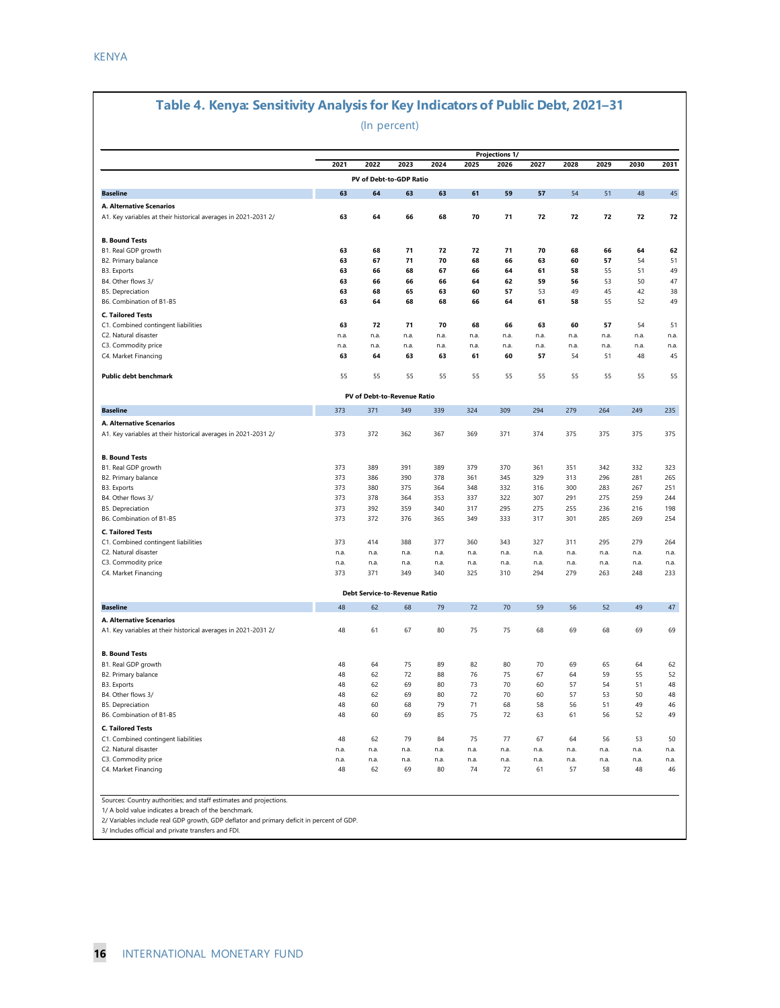#### **Table 4. Kenya: Sensitivity Analysis for Key Indicators of Public Debt, 2021–31**

#### (In percent)

|                                                                                            | 2021       | 2022                                 | 2023       | 2024       | 2025       | <b>Projections 1/</b><br>2026 | 2027       | 2028       | 2029       | 2030       | 2031       |
|--------------------------------------------------------------------------------------------|------------|--------------------------------------|------------|------------|------------|-------------------------------|------------|------------|------------|------------|------------|
|                                                                                            |            | PV of Debt-to-GDP Ratio              |            |            |            |                               |            |            |            |            |            |
| <b>Baseline</b>                                                                            | 63         | 64                                   | 63         | 63         | 61         | 59                            | 57         | 54         | 51         | 48         | 45         |
| A. Alternative Scenarios                                                                   |            |                                      |            |            |            |                               |            |            |            |            |            |
| A1. Key variables at their historical averages in 2021-2031 2/                             | 63         | 64                                   | 66         | 68         | 70         | 71                            | 72         | 72         | 72         | 72         | 72         |
| <b>B. Bound Tests</b>                                                                      |            |                                      |            |            |            |                               |            |            |            |            |            |
| B1. Real GDP growth                                                                        | 63         | 68                                   | 71         | 72         | 72         | 71                            | 70         | 68         | 66         | 64         | 62         |
| B2. Primary balance                                                                        | 63         | 67                                   | 71         | 70         | 68         | 66                            | 63         | 60         | 57         | 54         | 51         |
| B3. Exports<br>B4. Other flows 3/                                                          | 63<br>63   | 66<br>66                             | 68<br>66   | 67<br>66   | 66<br>64   | 64<br>62                      | 61<br>59   | 58<br>56   | 55<br>53   | 51<br>50   | 49<br>47   |
| <b>B5.</b> Depreciation                                                                    | 63         | 68                                   | 65         | 63         | 60         | 57                            | 53         | 49         | 45         | 42         | 38         |
| B6. Combination of B1-B5                                                                   | 63         | 64                                   | 68         | 68         | 66         | 64                            | 61         | 58         | 55         | 52         | 49         |
| <b>C. Tailored Tests</b>                                                                   |            |                                      |            |            |            |                               |            |            |            |            |            |
| C1. Combined contingent liabilities                                                        | 63         | 72                                   | 71         | 70         | 68         | 66                            | 63         | 60         | 57         | 54         | 51         |
| C2. Natural disaster                                                                       | n.a.       | n.a.                                 | n.a.       | n.a.       | n.a.       | n.a.                          | n.a.       | n.a.       | n.a.       | n.a.       | n.a.       |
| C3. Commodity price                                                                        | n.a.       | n.a.                                 | n.a.       | n.a.       | n.a.       | n.a.                          | n.a.       | n.a.       | n.a.       | n.a.       | n.a.       |
| C4. Market Financing                                                                       | 63         | 64                                   | 63         | 63         | 61         | 60                            | 57         | 54         | 51         | 48         | 45         |
| Public debt benchmark                                                                      | 55         | 55                                   | 55         | 55         | 55         | 55                            | 55         | 55         | 55         | 55         | 55         |
|                                                                                            |            | PV of Debt-to-Revenue Ratio          |            |            |            |                               |            |            |            |            |            |
| <b>Baseline</b>                                                                            | 373        | 371                                  | 349        | 339        | 324        | 309                           | 294        | 279        | 264        | 249        | 235        |
| A. Alternative Scenarios                                                                   |            |                                      |            |            |            |                               |            |            |            |            |            |
| A1. Key variables at their historical averages in 2021-2031 2/                             | 373        | 372                                  | 362        | 367        | 369        | 371                           | 374        | 375        | 375        | 375        | 375        |
| <b>B. Bound Tests</b>                                                                      |            |                                      |            |            |            |                               |            |            |            |            |            |
| B1. Real GDP growth                                                                        | 373        | 389                                  | 391        | 389        | 379        | 370                           | 361        | 351        | 342        | 332        | 323        |
| B2. Primary balance                                                                        | 373        | 386                                  | 390        | 378        | 361        | 345                           | 329        | 313        | 296        | 281        | 265        |
| B3. Exports<br>B4. Other flows 3/                                                          | 373<br>373 | 380<br>378                           | 375<br>364 | 364<br>353 | 348<br>337 | 332<br>322                    | 316<br>307 | 300<br>291 | 283<br>275 | 267<br>259 | 251<br>244 |
| <b>B5.</b> Depreciation                                                                    | 373        | 392                                  | 359        | 340        | 317        | 295                           | 275        | 255        | 236        | 216        | 198        |
| B6. Combination of B1-B5                                                                   | 373        | 372                                  | 376        | 365        | 349        | 333                           | 317        | 301        | 285        | 269        | 254        |
| <b>C. Tailored Tests</b>                                                                   |            |                                      |            |            |            |                               |            |            |            |            |            |
| C1. Combined contingent liabilities                                                        | 373        | 414                                  | 388        | 377        | 360        | 343                           | 327        | 311        | 295        | 279        | 264        |
| C2. Natural disaster                                                                       | n.a.       | n.a.                                 | n.a.       | n.a.       | n.a.       | n.a.                          | n.a.       | n.a.       | n.a.       | n.a.       | n.a.       |
| C3. Commodity price                                                                        | n.a.       | n.a.                                 | n.a.       | n.a.       | n.a.       | n.a.                          | n.a.       | n.a.       | n.a.       | n.a.       | n.a.       |
| C4. Market Financing                                                                       | 373        | 371                                  | 349        | 340        | 325        | 310                           | 294        | 279        | 263        | 248        | 233        |
|                                                                                            |            | <b>Debt Service-to-Revenue Ratio</b> |            |            |            |                               |            |            |            |            |            |
| <b>Baseline</b>                                                                            | 48         | 62                                   | 68         | 79         | 72         | 70                            | 59         | 56         | 52         | 49         | 47         |
| A. Alternative Scenarios<br>A1. Key variables at their historical averages in 2021-2031 2/ | 48         | 61                                   | 67         | 80         | 75         | 75                            | 68         | 69         | 68         | 69         | 69         |
|                                                                                            |            |                                      |            |            |            |                               |            |            |            |            |            |
| <b>B. Bound Tests</b>                                                                      |            |                                      |            |            |            |                               |            |            |            |            |            |
| B1. Real GDP growth                                                                        | 48         | 64                                   | 75         | 89         | 82         | 80                            | 70         | 69         | 65         | 64         | 62         |
| B2. Primary balance                                                                        | 48         | 62                                   | 72         | 88         | 76         | 75                            | 67         | 64         | 59         | 55         | 52         |
| B3. Exports<br>B4. Other flows 3/                                                          | 48<br>48   | 62<br>62                             | 69<br>69   | 80<br>80   | 73<br>72   | 70<br>70                      | 60<br>60   | 57<br>57   | 54<br>53   | 51<br>50   | 48<br>48   |
| <b>B5. Depreciation</b>                                                                    | 48         | 60                                   | 68         | 79         | 71         | 68                            | 58         | 56         | 51         | 49         | 46         |
| B6. Combination of B1-B5                                                                   | 48         | 60                                   | 69         | 85         | 75         | 72                            | 63         | 61         | 56         | 52         | 49         |
| <b>C. Tailored Tests</b>                                                                   |            |                                      |            |            |            |                               |            |            |            |            |            |
| C1. Combined contingent liabilities                                                        | 48         | 62                                   | 79         | 84         | 75         | 77                            | 67         | 64         | 56         | 53         | 50         |
| C2. Natural disaster                                                                       | n.a.       | n.a.                                 | n.a.       | n.a.       | n.a.       | n.a.                          | n.a.       | n.a.       | n.a.       | n.a.       | n.a.       |
| C3. Commodity price                                                                        | n.a.       | n.a.                                 | n.a.       | n.a.       | n.a.       | n.a.                          | n.a.       | n.a.       | n.a.       | n.a.       | n.a.       |
| C4. Market Financing                                                                       | 48         | 62                                   | 69         | 80         | 74         | 72                            | 61         | 57         | 58         | 48         | 46         |
|                                                                                            |            |                                      |            |            |            |                               |            |            |            |            |            |

2/ Variables include real GDP growth, GDP deflator and primary deficit in percent of GDP.

3/ Includes official and private transfers and FDI.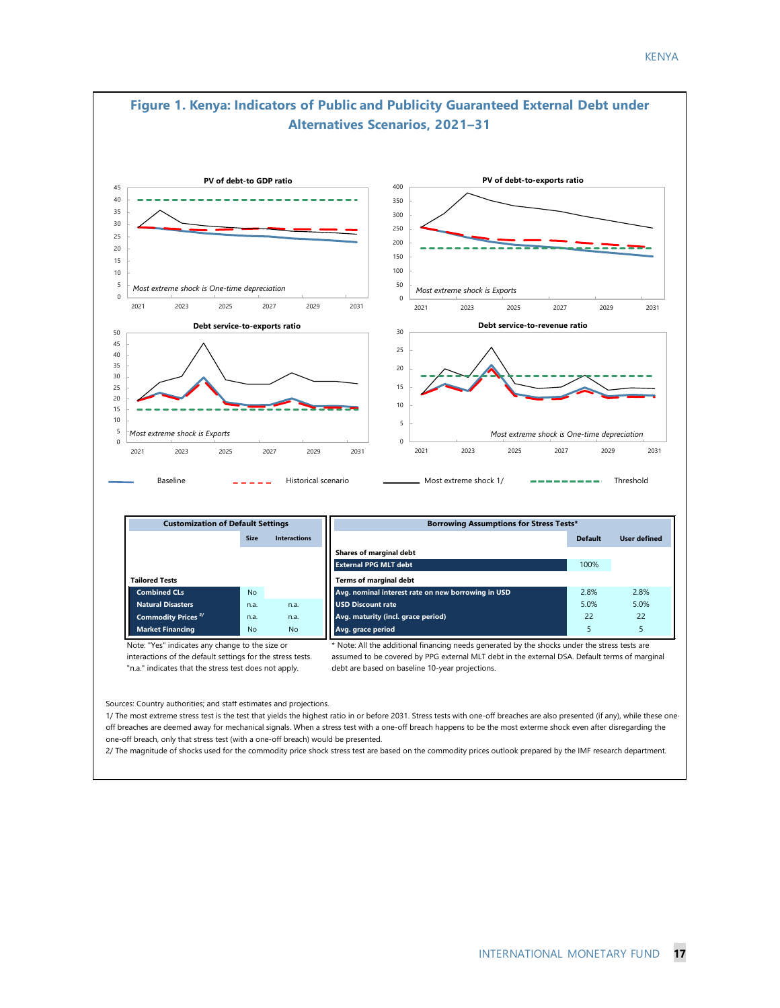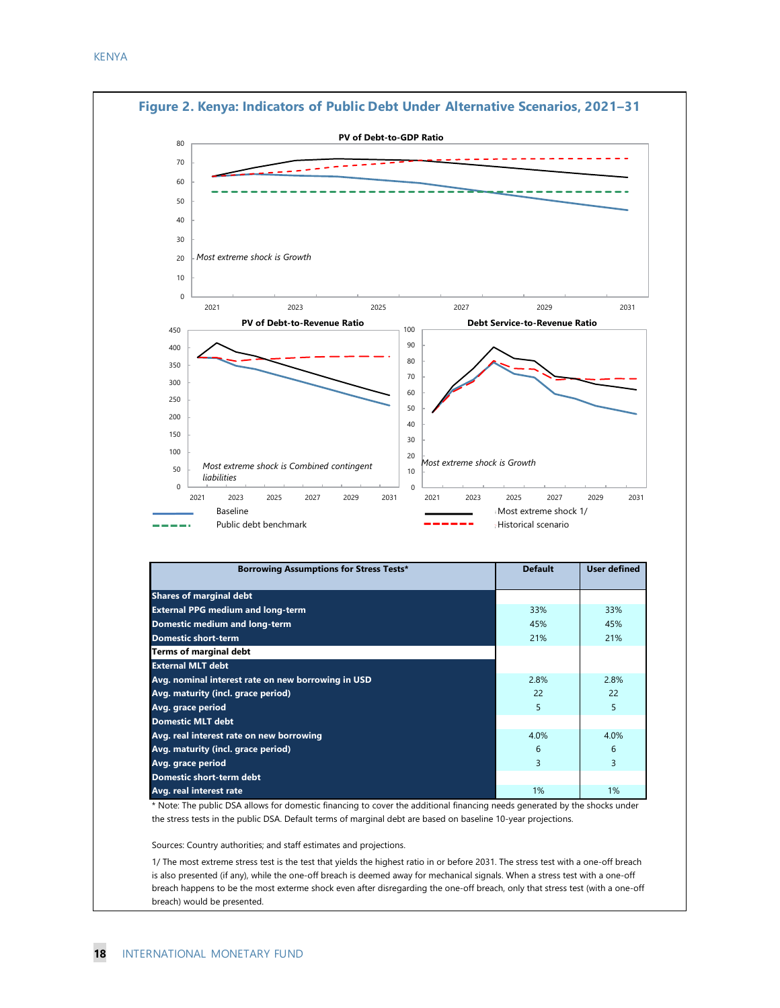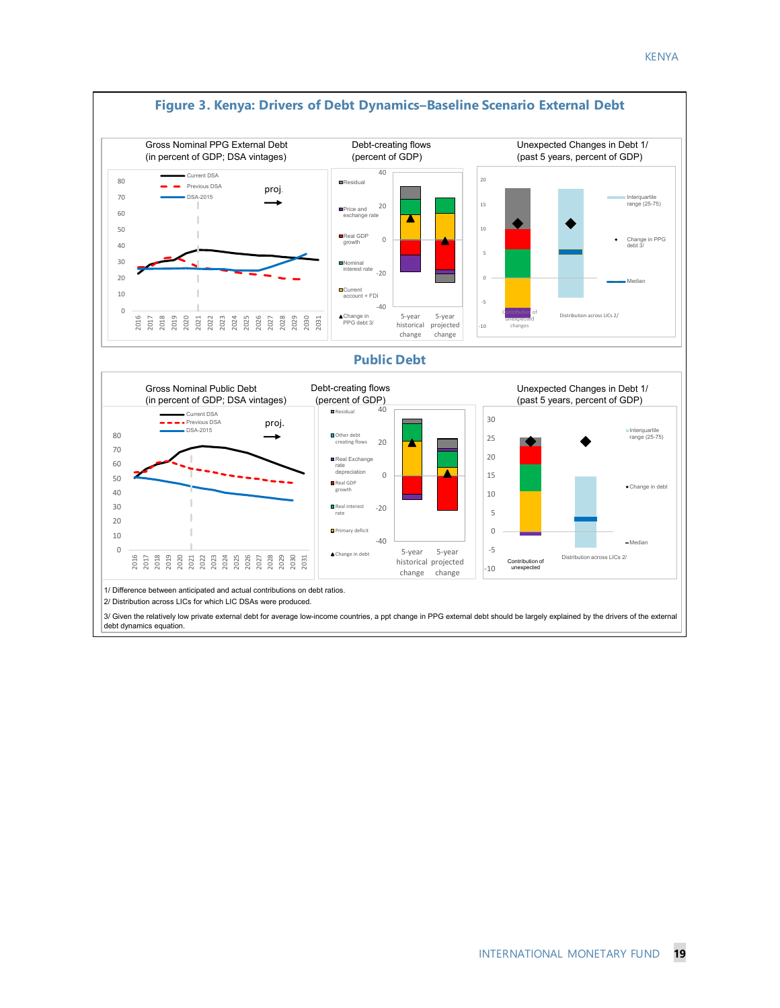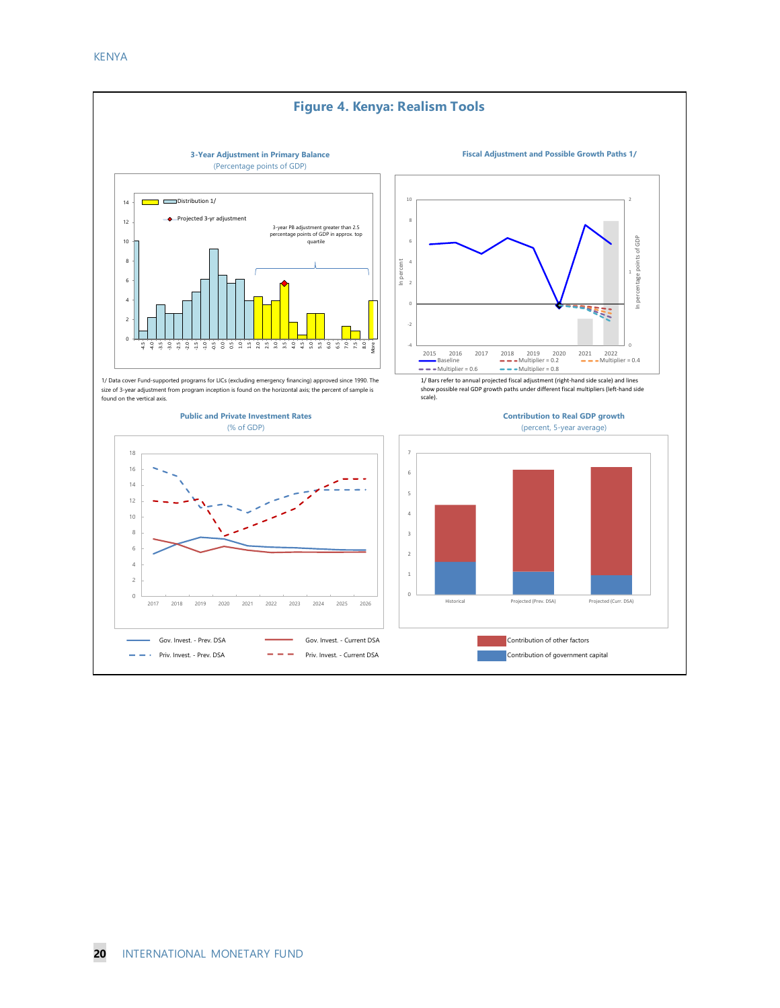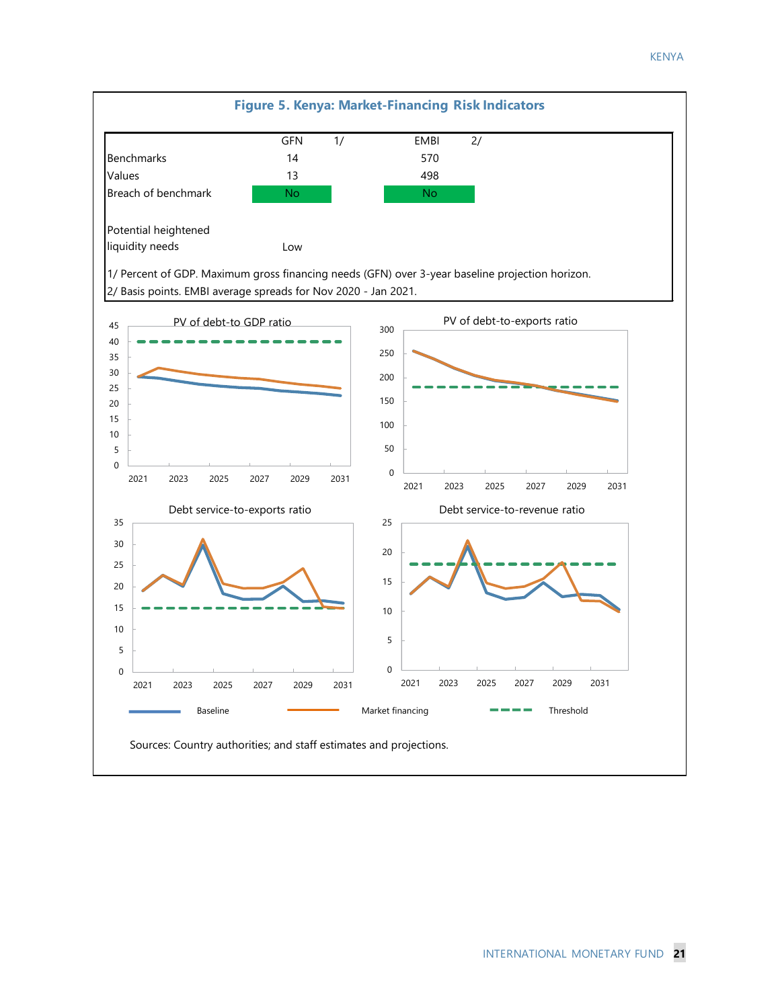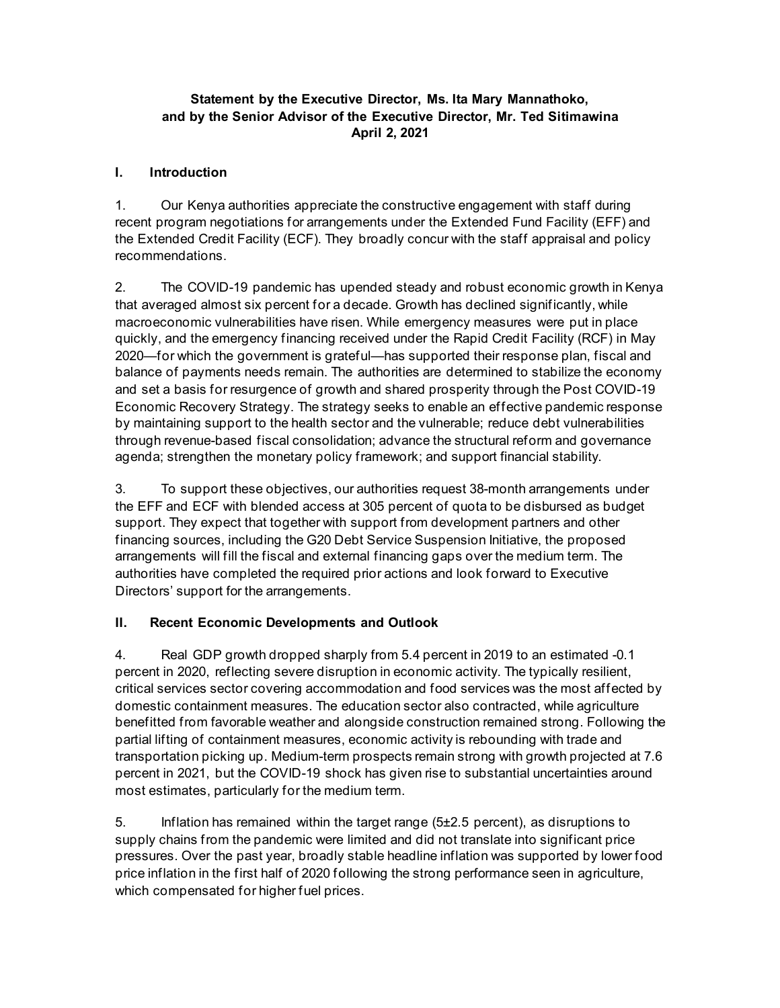#### **Statement by the Executive Director, Ms. Ita Mary Mannathoko, and by the Senior Advisor of the Executive Director, Mr. Ted Sitimawina April 2, 2021**

#### **I. Introduction**

1. Our Kenya authorities appreciate the constructive engagement with staff during recent program negotiations for arrangements under the Extended Fund Facility (EFF) and the Extended Credit Facility (ECF). They broadly concur with the staff appraisal and policy recommendations.

2. The COVID-19 pandemic has upended steady and robust economic growth in Kenya that averaged almost six percent for a decade. Growth has declined significantly, while macroeconomic vulnerabilities have risen. While emergency measures were put in place quickly, and the emergency financing received under the Rapid Credit Facility (RCF) in May 2020—for which the government is grateful—has supported their response plan, fiscal and balance of payments needs remain. The authorities are determined to stabilize the economy and set a basis for resurgence of growth and shared prosperity through the Post COVID-19 Economic Recovery Strategy. The strategy seeks to enable an effective pandemic response by maintaining support to the health sector and the vulnerable; reduce debt vulnerabilities through revenue-based fiscal consolidation; advance the structural reform and governance agenda; strengthen the monetary policy framework; and support financial stability.

3. To support these objectives, our authorities request 38-month arrangements under the EFF and ECF with blended access at 305 percent of quota to be disbursed as budget support. They expect that together with support from development partners and other financing sources, including the G20 Debt Service Suspension Initiative, the proposed arrangements will fill the fiscal and external financing gaps over the medium term. The authorities have completed the required prior actions and look forward to Executive Directors' support for the arrangements.

#### **II. Recent Economic Developments and Outlook**

4. Real GDP growth dropped sharply from 5.4 percent in 2019 to an estimated -0.1 percent in 2020, reflecting severe disruption in economic activity. The typically resilient, critical services sector covering accommodation and food services was the most affected by domestic containment measures. The education sector also contracted, while agriculture benefitted from favorable weather and alongside construction remained strong. Following the partial lifting of containment measures, economic activity is rebounding with trade and transportation picking up. Medium-term prospects remain strong with growth projected at 7.6 percent in 2021, but the COVID-19 shock has given rise to substantial uncertainties around most estimates, particularly for the medium term.

5. Inflation has remained within the target range (5±2.5 percent), as disruptions to supply chains from the pandemic were limited and did not translate into significant price pressures. Over the past year, broadly stable headline inflation was supported by lower food price inflation in the first half of 2020 following the strong performance seen in agriculture, which compensated for higher fuel prices.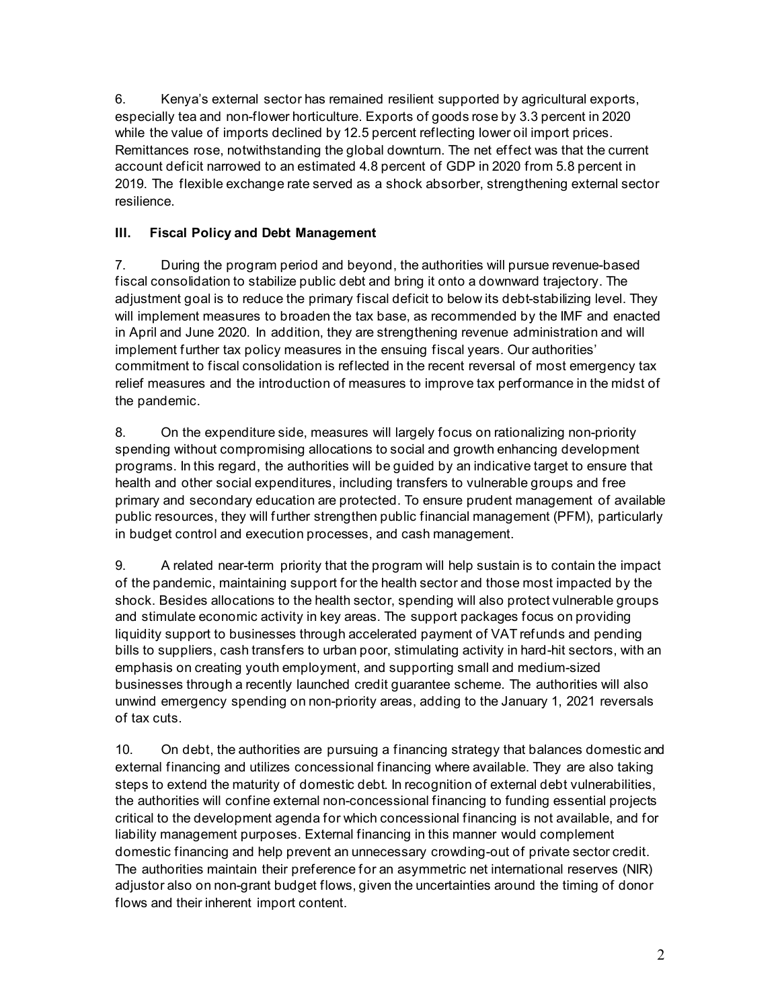6. Kenya's external sector has remained resilient supported by agricultural exports, especially tea and non-flower horticulture. Exports of goods rose by 3.3 percent in 2020 while the value of imports declined by 12.5 percent reflecting lower oil import prices. Remittances rose, notwithstanding the global downturn. The net effect was that the current account deficit narrowed to an estimated 4.8 percent of GDP in 2020 from 5.8 percent in 2019. The flexible exchange rate served as a shock absorber, strengthening external sector resilience.

#### **III. Fiscal Policy and Debt Management**

7. During the program period and beyond, the authorities will pursue revenue-based fiscal consolidation to stabilize public debt and bring it onto a downward trajectory. The adjustment goal is to reduce the primary fiscal deficit to below its debt-stabilizing level. They will implement measures to broaden the tax base, as recommended by the IMF and enacted in April and June 2020. In addition, they are strengthening revenue administration and will implement further tax policy measures in the ensuing fiscal years. Our authorities' commitment to fiscal consolidation is reflected in the recent reversal of most emergency tax relief measures and the introduction of measures to improve tax performance in the midst of the pandemic.

8. On the expenditure side, measures will largely focus on rationalizing non-priority spending without compromising allocations to social and growth enhancing development programs. In this regard, the authorities will be guided by an indicative target to ensure that health and other social expenditures, including transfers to vulnerable groups and free primary and secondary education are protected. To ensure prudent management of available public resources, they will further strengthen public financial management (PFM), particularly in budget control and execution processes, and cash management.

9. A related near-term priority that the program will help sustain is to contain the impact of the pandemic, maintaining support for the health sector and those most impacted by the shock. Besides allocations to the health sector, spending will also protect vulnerable groups and stimulate economic activity in key areas. The support packages focus on providing liquidity support to businesses through accelerated payment of VAT refunds and pending bills to suppliers, cash transfers to urban poor, stimulating activity in hard-hit sectors, with an emphasis on creating youth employment, and supporting small and medium-sized businesses through a recently launched credit guarantee scheme. The authorities will also unwind emergency spending on non-priority areas, adding to the January 1, 2021 reversals of tax cuts.

10. On debt, the authorities are pursuing a financing strategy that balances domestic and external financing and utilizes concessional financing where available. They are also taking steps to extend the maturity of domestic debt. In recognition of external debt vulnerabilities, the authorities will confine external non-concessional financing to funding essential projects critical to the development agenda for which concessional financing is not available, and for liability management purposes. External financing in this manner would complement domestic financing and help prevent an unnecessary crowding-out of private sector credit. The authorities maintain their preference for an asymmetric net international reserves (NIR) adjustor also on non-grant budget flows, given the uncertainties around the timing of donor flows and their inherent import content.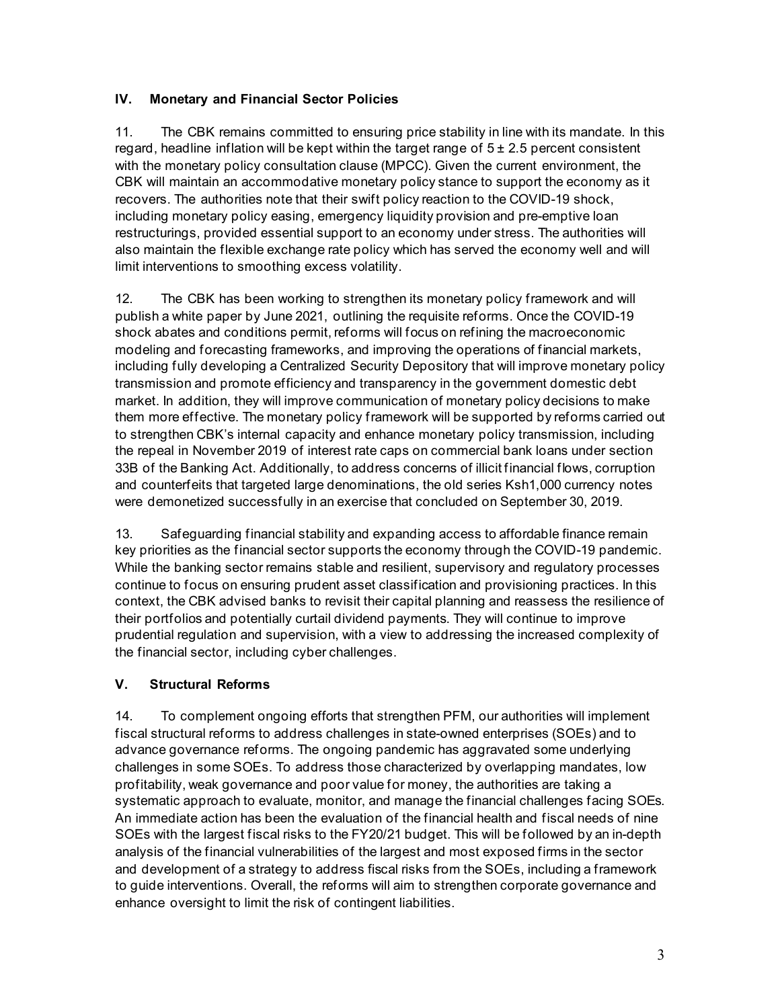#### **IV. Monetary and Financial Sector Policies**

11. The CBK remains committed to ensuring price stability in line with its mandate. In this regard, headline inflation will be kept within the target range of  $5 \pm 2.5$  percent consistent with the monetary policy consultation clause (MPCC). Given the current environment, the CBK will maintain an accommodative monetary policy stance to support the economy as it recovers. The authorities note that their swift policy reaction to the COVID-19 shock, including monetary policy easing, emergency liquidity provision and pre-emptive loan restructurings, provided essential support to an economy under stress. The authorities will also maintain the flexible exchange rate policy which has served the economy well and will limit interventions to smoothing excess volatility.

12. The CBK has been working to strengthen its monetary policy framework and will publish a white paper by June 2021, outlining the requisite reforms. Once the COVID-19 shock abates and conditions permit, reforms will focus on refining the macroeconomic modeling and forecasting frameworks, and improving the operations of financial markets, including fully developing a Centralized Security Depository that will improve monetary policy transmission and promote efficiency and transparency in the government domestic debt market. In addition, they will improve communication of monetary policy decisions to make them more effective. The monetary policy framework will be supported by reforms carried out to strengthen CBK's internal capacity and enhance monetary policy transmission, including the repeal in November 2019 of interest rate caps on commercial bank loans under section 33B of the Banking Act. Additionally, to address concerns of illicit financial flows, corruption and counterfeits that targeted large denominations, the old series Ksh1,000 currency notes were demonetized successfully in an exercise that concluded on September 30, 2019.

13. Safeguarding financial stability and expanding access to affordable finance remain key priorities as the financial sector supports the economy through the COVID-19 pandemic. While the banking sector remains stable and resilient, supervisory and regulatory processes continue to focus on ensuring prudent asset classification and provisioning practices. In this context, the CBK advised banks to revisit their capital planning and reassess the resilience of their portfolios and potentially curtail dividend payments. They will continue to improve prudential regulation and supervision, with a view to addressing the increased complexity of the financial sector, including cyber challenges.

#### **V. Structural Reforms**

14. To complement ongoing efforts that strengthen PFM, our authorities will implement fiscal structural reforms to address challenges in state-owned enterprises (SOEs) and to advance governance reforms. The ongoing pandemic has aggravated some underlying challenges in some SOEs. To address those characterized by overlapping mandates, low profitability, weak governance and poor value for money, the authorities are taking a systematic approach to evaluate, monitor, and manage the financial challenges facing SOEs. An immediate action has been the evaluation of the financial health and fiscal needs of nine SOEs with the largest fiscal risks to the FY20/21 budget. This will be followed by an in-depth analysis of the financial vulnerabilities of the largest and most exposed firms in the sector and development of a strategy to address fiscal risks from the SOEs, including a framework to guide interventions. Overall, the reforms will aim to strengthen corporate governance and enhance oversight to limit the risk of contingent liabilities.